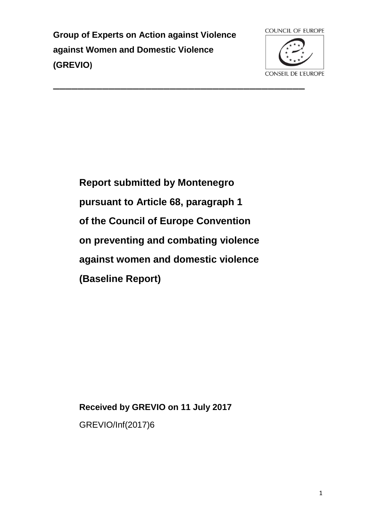**Group of Experts on Action against Violence against Women and Domestic Violence (GREVIO)**



**Report submitted by Montenegro pursuant to Article 68, paragraph 1 of the Council of Europe Convention on preventing and combating violence against women and domestic violence (Baseline Report)**

**Received by GREVIO on 11 July 2017**

GREVIO/Inf(2017)6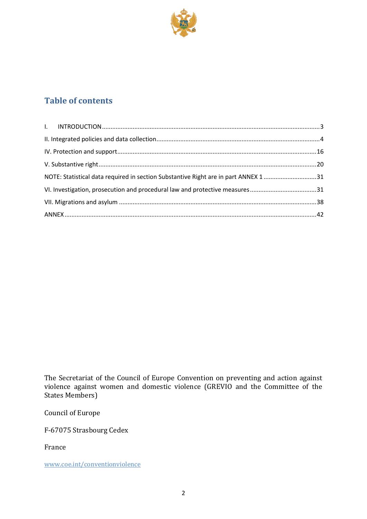

# **Table of contents**

| NOTE: Statistical data required in section Substantive Right are in part ANNEX 1 31 |  |
|-------------------------------------------------------------------------------------|--|
|                                                                                     |  |
|                                                                                     |  |
|                                                                                     |  |

The Secretariat of the Council of Europe Convention on preventing and action against violence against women and domestic violence (GREVIO and the Committee of the States Members)

Council of Europe

F-67075 Strasbourg Cedex

France

www.coe.int/conventionviolence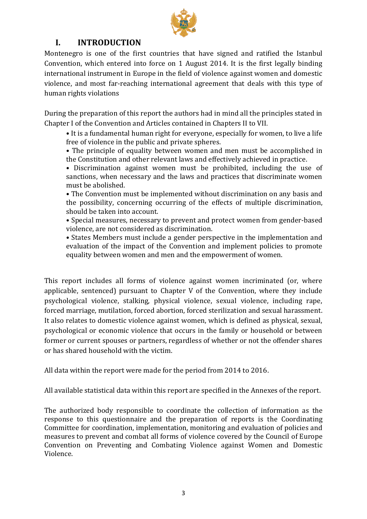

# <span id="page-2-0"></span>**I. INTRODUCTION**

Montenegro is one of the first countries that have signed and ratified the Istanbul Convention, which entered into force on 1 August 2014. It is the first legally binding international instrument in Europe in the field of violence against women and domestic violence, and most far-reaching international agreement that deals with this type of human rights violations

During the preparation of this report the authors had in mind all the principles stated in Chapter I of the Convention and Articles contained in Chapters II to VII.

• It is a fundamental human right for everyone, especially for women, to live a life free of violence in the public and private spheres.

• The principle of equality between women and men must be accomplished in the Constitution and other relevant laws and effectively achieved in practice.

• Discrimination against women must be prohibited, including the use of sanctions, when necessary and the laws and practices that discriminate women must be abolished.

• The Convention must be implemented without discrimination on any basis and the possibility, concerning occurring of the effects of multiple discrimination, should be taken into account.

• Special measures, necessary to prevent and protect women from gender-based violence, are not considered as discrimination.

• States Members must include a gender perspective in the implementation and evaluation of the impact of the Convention and implement policies to promote equality between women and men and the empowerment of women.

This report includes all forms of violence against women incriminated (or, where applicable, sentenced) pursuant to Chapter V of the Convention, where they include psychological violence, stalking, physical violence, sexual violence, including rape, forced marriage, mutilation, forced abortion, forced sterilization and sexual harassment. It also relates to domestic violence against women, which is defined as physical, sexual, psychological or economic violence that occurs in the family or household or between former or current spouses or partners, regardless of whether or not the offender shares or has shared household with the victim.

All data within the report were made for the period from 2014 to 2016.

All available statistical data within this report are specified in the Annexes of the report.

The authorized body responsible to coordinate the collection of information as the response to this questionnaire and the preparation of reports is the Coordinating Committee for coordination, implementation, monitoring and evaluation of policies and measures to prevent and combat all forms of violence covered by the Council of Europe Convention on Preventing and Combating Violence against Women and Domestic Violence.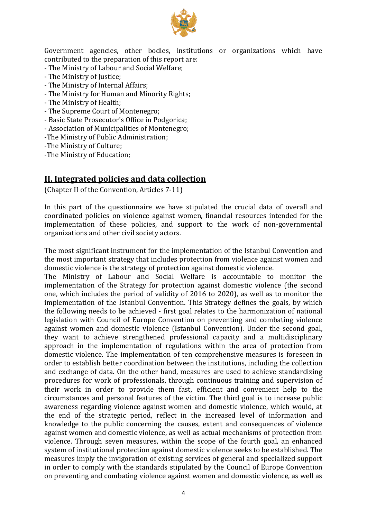

Government agencies, other bodies, institutions or organizations which have contributed to the preparation of this report are:

- The Ministry of Labour and Social Welfare;
- The Ministry of Justice;
- The Ministry of Internal Affairs;
- The Ministry for Human and Minority Rights;
- The Ministry of Health;
- The Supreme Court of Montenegro;
- Basic State Prosecutor's Office in Podgorica;
- Association of Municipalities of Montenegro;
- -The Ministry of Public Administration;
- -The Ministry of Culture;

<span id="page-3-0"></span>-The Ministry of Education;

#### **II. Integrated policies and data collection**

(Chapter II of the Convention, Articles 7-11)

In this part of the questionnaire we have stipulated the crucial data of overall and coordinated policies on violence against women, financial resources intended for the implementation of these policies, and support to the work of non-governmental organizations and other civil society actors.

The most significant instrument for the implementation of the Istanbul Convention and the most important strategy that includes protection from violence against women and domestic violence is the strategy of protection against domestic violence.

The Ministry of Labour and Social Welfare is accountable to monitor the implementation of the Strategy for protection against domestic violence (the second one, which includes the period of validity of 2016 to 2020), as well as to monitor the implementation of the Istanbul Convention. This Strategy defines the goals, by which the following needs to be achieved - first goal relates to the harmonization of national legislation with Council of Europe Convention on preventing and combating violence against women and domestic violence (Istanbul Convention). Under the second goal, they want to achieve strengthened professional capacity and a multidisciplinary approach in the implementation of regulations within the area of protection from domestic violence. The implementation of ten comprehensive measures is foreseen in order to establish better coordination between the institutions, including the collection and exchange of data. On the other hand, measures are used to achieve standardizing procedures for work of professionals, through continuous training and supervision of their work in order to provide them fast, efficient and convenient help to the circumstances and personal features of the victim. The third goal is to increase public awareness regarding violence against women and domestic violence, which would, at the end of the strategic period, reflect in the increased level of information and knowledge to the public concerning the causes, extent and consequences of violence against women and domestic violence, as well as actual mechanisms of protection from violence. Through seven measures, within the scope of the fourth goal, an enhanced system of institutional protection against domestic violence seeks to be established. The measures imply the invigoration of existing services of general and specialized support in order to comply with the standards stipulated by the Council of Europe Convention on preventing and combating violence against women and domestic violence, as well as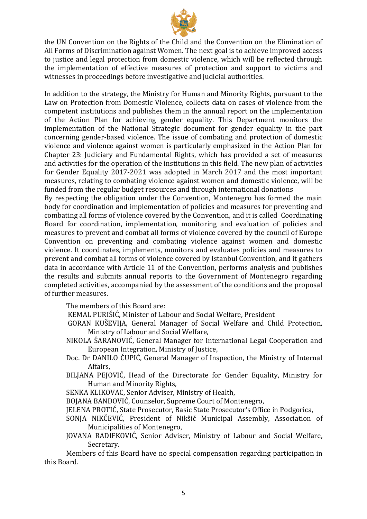

the UN Convention on the Rights of the Child and the Convention on the Elimination of All Forms of Discrimination against Women. The next goal is to achieve improved access to justice and legal protection from domestic violence, which will be reflected through the implementation of effective measures of protection and support to victims and witnesses in proceedings before investigative and judicial authorities.

In addition to the strategy, the Ministry for Human and Minority Rights, pursuant to the Law on Protection from Domestic Violence, collects data on cases of violence from the competent institutions and publishes them in the annual report on the implementation of the Action Plan for achieving gender equality. This Department monitors the implementation of the National Strategic document for gender equality in the part concerning gender-based violence. The issue of combating and protection of domestic violence and violence against women is particularly emphasized in the Action Plan for Chapter 23: Judiciary and Fundamental Rights, which has provided a set of measures and activities for the operation of the institutions in this field. The new plan of activities for Gender Equality 2017-2021 was adopted in March 2017 and the most important measures, relating to combating violence against women and domestic violence, will be funded from the regular budget resources and through international donations

By respecting the obligation under the Convention, Montenegro has formed the main body for coordination and implementation of policies and measures for preventing and combating all forms of violence covered by the Convention, and it is called Coordinating Board for coordination, implementation, monitoring and evaluation of policies and measures to prevent and combat all forms of violence covered by the council of Europe Convention on preventing and combating violence against women and domestic violence. It coordinates, implements, monitors and evaluates policies and measures to prevent and combat all forms of violence covered by Istanbul Convention, and it gathers data in accordance with Article 11 of the Convention, performs analysis and publishes the results and submits annual reports to the Government of Montenegro regarding completed activities, accompanied by the assessment of the conditions and the proposal of further measures.

The members of this Board are:

KEMAL PURIŠIĆ, Minister of Labour and Social Welfare, President

- GORAN KUŠEVIJA, General Manager of Social Welfare and Child Protection, Ministry of Labour and Social Welfare,
- NIKOLA ŠARANOVIĆ, General Manager for International Legal Cooperation and European Integration, Ministry of Justice,
- Doc. Dr DANILO ĆUPIĆ, General Manager of Inspection, the Ministry of Internal Affairs,
- BILJANA PEJOVIĆ, Head of the Directorate for Gender Equality, Ministry for Human and Minority Rights,

SENKA KLIKOVAC, Senior Adviser, Ministry of Health,

- BOJANA BANDOVIĆ, Counselor, Supreme Court of Montenegro,
- JELENA PROTIĆ, State Prosecutor, Basic State Prosecutor's Office in Podgorica,
- SONJA NIKČEVIĆ, President of Nikšić Municipal Assembly, Association of Municipalities of Montenegro,
- JOVANA RADIFKOVIĆ, Senior Adviser, Ministry of Labour and Social Welfare, Secretary.

Members of this Board have no special compensation regarding participation in this Board.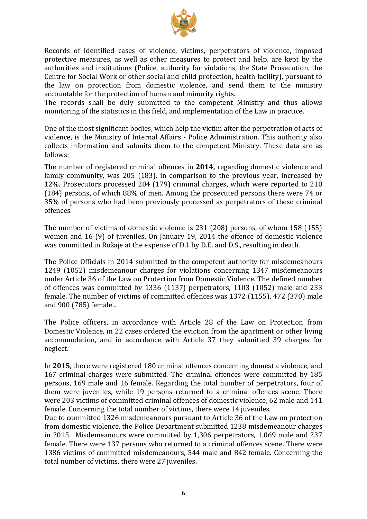

Records of identified cases of violence, victims, perpetrators of violence, imposed protective measures, as well as other measures to protect and help, are kept by the authorities and institutions (Police, authority for violations, the State Prosecution, the Centre for Social Work or other social and child protection, health facility), pursuant to the law on protection from domestic violence, and send them to the ministry accountable for the protection of human and minority rights.

The records shall be duly submitted to the competent Ministry and thus allows monitoring of the statistics in this field, and implementation of the Law in practice.

One of the most significant bodies, which help the victim after the perpetration of acts of violence, is the Ministry of Internal Affairs - Police Administration. This authority also collects information and submits them to the competent Ministry. These data are as follows:

The number of registered criminal offences in **2014,** regarding domestic violence and family community, was 205 (183), in comparison to the previous year, increased by 12%. Prosecutors processed 204 (179) criminal charges, which were reported to 210 (184) persons, of which 88% of men. Among the prosecuted persons there were 74 or 35% of persons who had been previously processed as perpetrators of these criminal offences.

The number of victims of domestic violence is 231 (208) persons, of whom 158 (155) women and 16 (9) of juveniles. On January 19, 2014 the offence of domestic violence was committed in Rožaje at the expense of D.I. by D.E. and D.S., resulting in death.

The Police Officials in 2014 submitted to the competent authority for misdemeanours 1249 (1052) misdemeanour charges for violations concerning 1347 misdemeanours under Article 36 of the Law on Protection from Domestic Violence. The defined number of offences was committed by 1336 (1137) perpetrators, 1103 (1052) male and 233 female. The number of victims of committed offences was 1372 (1155), 472 (370) male and 900 (785) female...

The Police officers, in accordance with Article 28 of the Law on Protection from Domestic Violence, in 22 cases ordered the eviction from the apartment or other living accommodation, and in accordance with Article 37 they submitted 39 charges for neglect.

In **2015**, there were registered 180 criminal offences concerning domestic violence, and 167 criminal charges were submitted. The criminal offences were committed by 185 persons, 169 male and 16 female. Regarding the total number of perpetrators, four of them were juveniles, while 19 persons returned to a criminal offences scene. There were 203 victims of committed criminal offences of domestic violence, 62 male and 141 female. Concerning the total number of victims, there were 14 juveniles.

Due to committed 1326 misdemeanours pursuant to Article 36 of the Law on protection from domestic violence, the Police Department submitted 1238 misdemeanour charges in 2015. Misdemeanours were committed by 1,306 perpetrators, 1,069 male and 237 female. There were 137 persons who returned to a criminal offences scene. There were 1386 victims of committed misdemeanours, 544 male and 842 female. Concerning the total number of victims, there were 27 juveniles.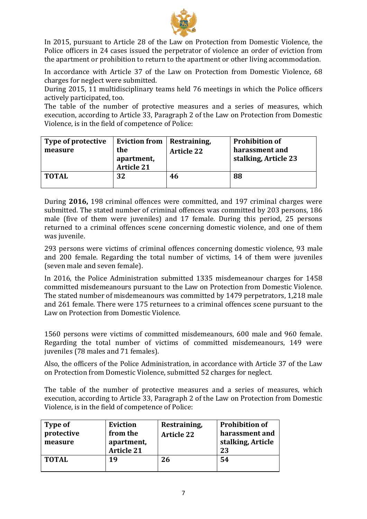

In 2015, pursuant to Article 28 of the Law on Protection from Domestic Violence, the Police officers in 24 cases issued the perpetrator of violence an order of eviction from the apartment or prohibition to return to the apartment or other living accommodation.

In accordance with Article 37 of the Law on Protection from Domestic Violence, 68 charges for neglect were submitted.

During 2015, 11 multidisciplinary teams held 76 meetings in which the Police officers actively participated, too.

The table of the number of protective measures and a series of measures, which execution, according to Article 33, Paragraph 2 of the Law on Protection from Domestic Violence, is in the field of competence of Police:

| Type of protective<br>measure | <b>Eviction from</b><br>the<br>apartment,<br><b>Article 21</b> | Restraining,<br><b>Article 22</b> | <b>Prohibition of</b><br>harassment and<br>stalking, Article 23 |
|-------------------------------|----------------------------------------------------------------|-----------------------------------|-----------------------------------------------------------------|
| TOTAL                         | 32                                                             | 46                                | 88                                                              |

During **2016,** 198 criminal offences were committed, and 197 criminal charges were submitted. The stated number of criminal offences was committed by 203 persons, 186 male (five of them were juveniles) and 17 female. During this period, 25 persons returned to a criminal offences scene concerning domestic violence, and one of them was juvenile.

293 persons were victims of criminal offences concerning domestic violence, 93 male and 200 female. Regarding the total number of victims, 14 of them were juveniles (seven male and seven female).

In 2016, the Police Administration submitted 1335 misdemeanour charges for 1458 committed misdemeanours pursuant to the Law on Protection from Domestic Violence. The stated number of misdemeanours was committed by 1479 perpetrators, 1,218 male and 261 female. There were 175 returnees to a criminal offences scene pursuant to the Law on Protection from Domestic Violence.

1560 persons were victims of committed misdemeanours, 600 male and 960 female. Regarding the total number of victims of committed misdemeanours, 149 were juveniles (78 males and 71 females).

Also, the officers of the Police Administration, in accordance with Article 37 of the Law on Protection from Domestic Violence, submitted 52 charges for neglect.

The table of the number of protective measures and a series of measures, which execution, according to Article 33, Paragraph 2 of the Law on Protection from Domestic Violence, is in the field of competence of Police:

| Type of<br>protective<br>measure | <b>Eviction</b><br>from the<br>apartment,<br><b>Article 21</b> | Restraining,<br><b>Article 22</b> | <b>Prohibition of</b><br>harassment and<br>stalking, Article<br>23 |
|----------------------------------|----------------------------------------------------------------|-----------------------------------|--------------------------------------------------------------------|
| <b>TOTAL</b>                     | 19                                                             | 26                                | 54                                                                 |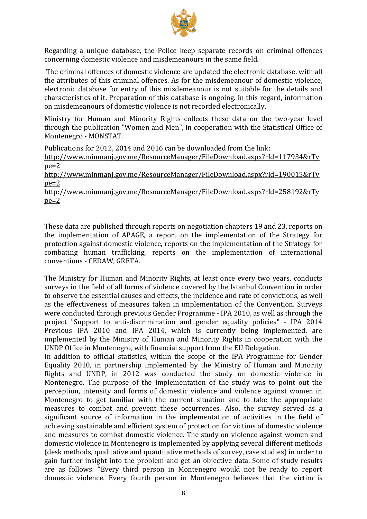

Regarding a unique database, the Police keep separate records on criminal offences concerning domestic violence and misdemeanours in the same field.

The criminal offences of domestic violence are updated the electronic database, with all the attributes of this criminal offences. As for the misdemeanour of domestic violence, electronic database for entry of this misdemeanour is not suitable for the details and characteristics of it. Preparation of this database is ongoing. In this regard, information on misdemeanours of domestic violence is not recorded electronically.

Ministry for Human and Minority Rights collects these data on the two-year level through the publication "Women and Men", in cooperation with the Statistical Office of Montenegro - MONSTAT.

Publications for 2012, 2014 and 2016 can be downloaded from the link: [http://www.minmanj.gov.me/ResourceManager/FileDownload.aspx?rId=117934&rTy](http://www.minmanj.gov.me/ResourceManager/FileDownload.aspx?rId=117934&rType=2)  $ne=2$ 

[http://www.minmanj.gov.me/ResourceManager/FileDownload.aspx?rId=190015&rTy](http://www.minmanj.gov.me/ResourceManager/FileDownload.aspx?rId=190015&rType=2)  $pe=2$ 

[http://www.minmanj.gov.me/ResourceManager/FileDownload.aspx?rId=258192&rTy](http://www.minmanj.gov.me/ResourceManager/FileDownload.aspx?rId=258192&rType=2) [pe=2](http://www.minmanj.gov.me/ResourceManager/FileDownload.aspx?rId=258192&rType=2)

These data are published through reports on negotiation chapters 19 and 23, reports on the implementation of APAGE, a report on the implementation of the Strategy for protection against domestic violence, reports on the implementation of the Strategy for combating human trafficking, reports on the implementation of international conventions - CEDAW, GRETA.

The Ministry for Human and Minority Rights, at least once every two years, conducts surveys in the field of all forms of violence covered by the Istanbul Convention in order to observe the essential causes and effects, the incidence and rate of convictions, as well as the effectiveness of measures taken in implementation of the Convention. Surveys were conducted through previous Gender Programme - IPA 2010, as well as through the project "Support to anti-discrimination and gender equality policies" - IPA 2014 Previous IPA 2010 and IPA 2014, which is currently being implemented, are implemented by the Ministry of Human and Minority Rights in cooperation with the UNDP Office in Montenegro, with financial support from the EU Delegation.

In addition to official statistics, within the scope of the IPA Programme for Gender Equality 2010, in partnership implemented by the Ministry of Human and Minority Rights and UNDP, in 2012 was conducted the study on domestic violence in Montenegro. The purpose of the implementation of the study was to point out the perception, intensity and forms of domestic violence and violence against women in Montenegro to get familiar with the current situation and to take the appropriate measures to combat and prevent these occurrences. Also, the survey served as a significant source of information in the implementation of activities in the field of achieving sustainable and efficient system of protection for victims of domestic violence and measures to combat domestic violence. The study on violence against women and domestic violence in Montenegro is implemented by applying several different methods (desk methods, qualitative and quantitative methods of survey, case studies) in order to gain further insight into the problem and get an objective data. Some of study results are as follows: "Every third person in Montenegro would not be ready to report domestic violence. Every fourth person in Montenegro believes that the victim is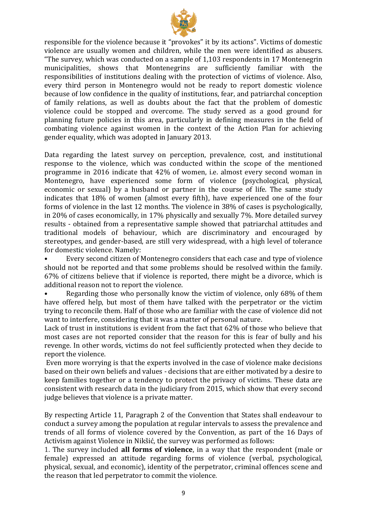

responsible for the violence because it "provokes" it by its actions". Victims of domestic violence are usually women and children, while the men were identified as abusers. "The survey, which was conducted on a sample of 1,103 respondents in 17 Montenegrin municipalities, shows that Montenegrins are sufficiently familiar with the responsibilities of institutions dealing with the protection of victims of violence. Also, every third person in Montenegro would not be ready to report domestic violence because of low confidence in the quality of institutions, fear, and patriarchal conception of family relations, as well as doubts about the fact that the problem of domestic violence could be stopped and overcome. The study served as a good ground for planning future policies in this area, particularly in defining measures in the field of combating violence against women in the context of the Action Plan for achieving gender equality, which was adopted in January 2013.

Data regarding the latest survey on perception, prevalence, cost, and institutional response to the violence, which was conducted within the scope of the mentioned programme in 2016 indicate that 42% of women, i.e. almost every second woman in Montenegro, have experienced some form of violence (psychological, physical, economic or sexual) by a husband or partner in the course of life. The same study indicates that 18% of women (almost every fifth), have experienced one of the four forms of violence in the last 12 months. The violence in 38% of cases is psychologically, in 20% of cases economically, in 17% physically and sexually 7%. More detailed survey results - obtained from a representative sample showed that patriarchal attitudes and traditional models of behaviour, which are discriminatory and encouraged by stereotypes, and gender-based, are still very widespread, with a high level of tolerance for domestic violence. Namely:

• Every second citizen of Montenegro considers that each case and type of violence should not be reported and that some problems should be resolved within the family. 67% of citizens believe that if violence is reported, there might be a divorce, which is additional reason not to report the violence.

• Regarding those who personally know the victim of violence, only 68% of them have offered help, but most of them have talked with the perpetrator or the victim trying to reconcile them. Half of those who are familiar with the case of violence did not want to interfere, considering that it was a matter of personal nature.

Lack of trust in institutions is evident from the fact that 62% of those who believe that most cases are not reported consider that the reason for this is fear of bully and his revenge. In other words, victims do not feel sufficiently protected when they decide to report the violence.

Even more worrying is that the experts involved in the case of violence make decisions based on their own beliefs and values - decisions that are either motivated by a desire to keep families together or a tendency to protect the privacy of victims. These data are consistent with research data in the judiciary from 2015, which show that every second judge believes that violence is a private matter.

By respecting Article 11, Paragraph 2 of the Convention that States shall endeavour to conduct a survey among the population at regular intervals to assess the prevalence and trends of all forms of violence covered by the Convention, as part of the 16 Days of Activism against Violence in Nikšić, the survey was performed as follows:

1. The survey included **all forms of violence**, in a way that the respondent (male or female) expressed an attitude regarding forms of violence (verbal, psychological, physical, sexual, and economic), identity of the perpetrator, criminal offences scene and the reason that led perpetrator to commit the violence.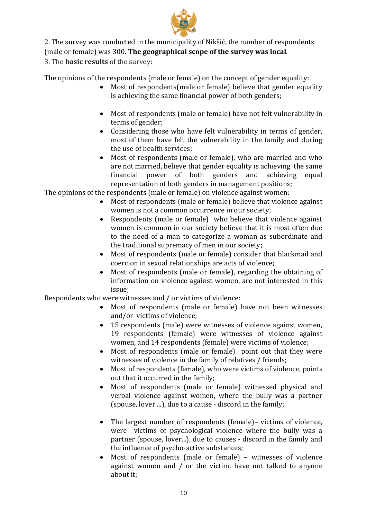

2. The survey was conducted in the municipality of Nikšić, the number of respondents

(male or female) was 300. **The geographical scope of the survey was local**.

3. The **basic results** of the survey:

The opinions of the respondents (male or female) on the concept of gender equality:

- Most of respondents (male or female) believe that gender equality is achieving the same financial power of both genders;
- Most of respondents (male or female) have not felt vulnerability in terms of gender;
- Considering those who have felt vulnerability in terms of gender, most of them have felt the vulnerability in the family and during the use of health services;
- Most of respondents (male or female), who are married and who are not married, believe that gender equality is achieving the same financial power of both genders and achieving equal representation of both genders in management positions;

The opinions of the respondents (male or female) on violence against women:

- Most of respondents (male or female) believe that violence against women is not a common occurrence in our society;
- Respondents (male or female) who believe that violence against women is common in our society believe that it is most often due to the need of a man to categorize a woman as subordinate and the traditional supremacy of men in our society;
- Most of respondents (male or female) consider that blackmail and coercion in sexual relationships are acts of violence;
- Most of respondents (male or female), regarding the obtaining of information on violence against women, are not interested in this issue;

Respondents who were witnesses and / or victims of violence:

- Most of respondents (male or female) have not been witnesses and/or victims of violence;
- 15 respondents (male) were witnesses of violence against women, 19 respondents (female) were witnesses of violence against women, and 14 respondents (female) were victims of violence;
- Most of respondents (male or female) point out that they were witnesses of violence in the family of relatives / friends;
- Most of respondents (female), who were victims of violence, points out that it occurred in the family;
- Most of respondents (male or female) witnessed physical and verbal violence against women, where the bully was a partner (spouse, lover ...), due to a cause - discord in the family;
- The largest number of respondents (female)– victims of violence, were victims of psychological violence where the bully was a partner (spouse, lover...), due to causes - discord in the family and the influence of psycho-active substances;
- Most of respondents (male or female) witnesses of violence against women and / or the victim, have not talked to anyone about it;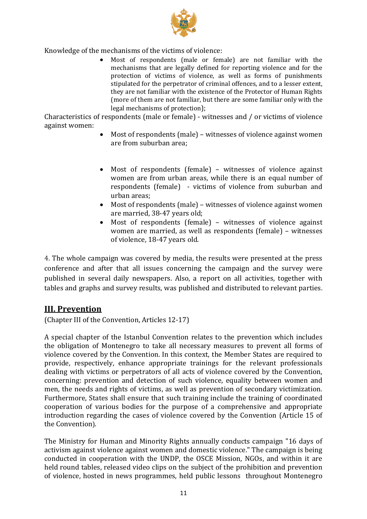

Knowledge of the mechanisms of the victims of violence:

 Most of respondents (male or female) are not familiar with the mechanisms that are legally defined for reporting violence and for the protection of victims of violence, as well as forms of punishments stipulated for the perpetrator of criminal offences, and to a lesser extent, they are not familiar with the existence of the Protector of Human Rights (more of them are not familiar, but there are some familiar only with the legal mechanisms of protection);

Characteristics of respondents (male or female) - witnesses and / or victims of violence against women:

- Most of respondents (male) witnesses of violence against women are from suburban area;
- Most of respondents (female) witnesses of violence against women are from urban areas, while there is an equal number of respondents (female) - victims of violence from suburban and urban areas;
- Most of respondents (male) witnesses of violence against women are married, 38-47 years old;
- Most of respondents (female) witnesses of violence against women are married, as well as respondents (female) – witnesses of violence, 18-47 years old.

4. The whole campaign was covered by media, the results were presented at the press conference and after that all issues concerning the campaign and the survey were published in several daily newspapers. Also, a report on all activities, together with tables and graphs and survey results, was published and distributed to relevant parties.

### **III. Prevention**

(Chapter III of the Convention, Articles 12-17)

A special chapter of the Istanbul Convention relates to the prevention which includes the obligation of Montenegro to take all necessary measures to prevent all forms of violence covered by the Convention. In this context, the Member States are required to provide, respectively, enhance appropriate trainings for the relevant professionals dealing with victims or perpetrators of all acts of violence covered by the Convention, concerning: prevention and detection of such violence, equality between women and men, the needs and rights of victims, as well as prevention of secondary victimization. Furthermore, States shall ensure that such training include the training of coordinated cooperation of various bodies for the purpose of a comprehensive and appropriate introduction regarding the cases of violence covered by the Convention (Article 15 of the Convention).

The Ministry for Human and Minority Rights annually conducts campaign "16 days of activism against violence against women and domestic violence." The campaign is being conducted in cooperation with the UNDP, the OSCE Mission, NGOs, and within it are held round tables, released video clips on the subject of the prohibition and prevention of violence, hosted in news programmes, held public lessons throughout Montenegro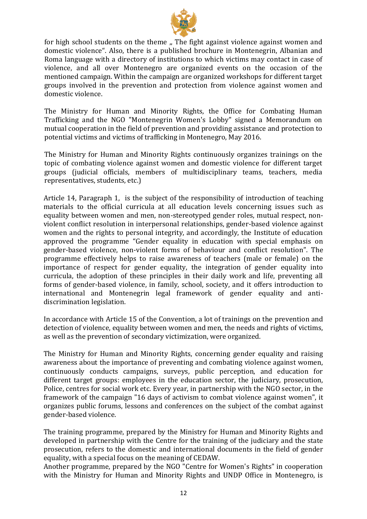

for high school students on the theme ,, The fight against violence against women and domestic violence". Also, there is a published brochure in Montenegrin, Albanian and Roma language with a directory of institutions to which victims may contact in case of violence, and all over Montenegro are organized events on the occasion of the mentioned campaign. Within the campaign are organized workshops for different target groups involved in the prevention and protection from violence against women and domestic violence.

The Ministry for Human and Minority Rights, the Office for Combating Human Trafficking and the NGO "Montenegrin Women's Lobby" signed a Memorandum on mutual cooperation in the field of prevention and providing assistance and protection to potential victims and victims of trafficking in Montenegro, May 2016.

The Ministry for Human and Minority Rights continuously organizes trainings on the topic of combating violence against women and domestic violence for different target groups (judicial officials, members of multidisciplinary teams, teachers, media representatives, students, etc.)

Article 14, Paragraph 1, is the subject of the responsibility of introduction of teaching materials to the official curricula at all education levels concerning issues such as equality between women and men, non-stereotyped gender roles, mutual respect, nonviolent conflict resolution in interpersonal relationships, gender-based violence against women and the rights to personal integrity, and accordingly, the Institute of education approved the programme "Gender equality in education with special emphasis on gender-based violence, non-violent forms of behaviour and conflict resolution". The programme effectively helps to raise awareness of teachers (male or female) on the importance of respect for gender equality, the integration of gender equality into curricula, the adoption of these principles in their daily work and life, preventing all forms of gender-based violence, in family, school, society, and it offers introduction to international and Montenegrin legal framework of gender equality and antidiscrimination legislation.

In accordance with Article 15 of the Convention, a lot of trainings on the prevention and detection of violence, equality between women and men, the needs and rights of victims, as well as the prevention of secondary victimization, were organized.

The Ministry for Human and Minority Rights, concerning gender equality and raising awareness about the importance of preventing and combating violence against women, continuously conducts campaigns, surveys, public perception, and education for different target groups: employees in the education sector, the judiciary, prosecution, Police, centres for social work etc. Every year, in partnership with the NGO sector, in the framework of the campaign "16 days of activism to combat violence against women", it organizes public forums, lessons and conferences on the subject of the combat against gender-based violence.

The training programme, prepared by the Ministry for Human and Minority Rights and developed in partnership with the Centre for the training of the judiciary and the state prosecution, refers to the domestic and international documents in the field of gender equality, with a special focus on the meaning of CEDAW.

Another programme, prepared by the NGO "Centre for Women's Rights" in cooperation with the Ministry for Human and Minority Rights and UNDP Office in Montenegro, is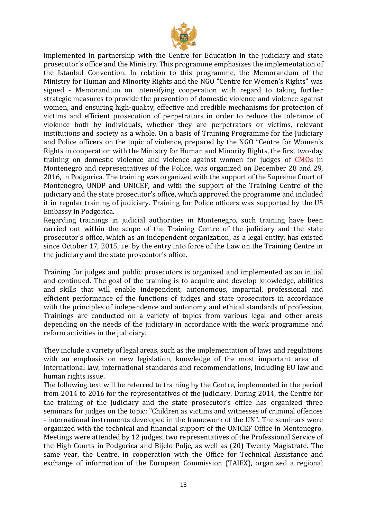

implemented in partnership with the Centre for Education in the judiciary and state prosecutor's office and the Ministry. This programme emphasizes the implementation of the Istanbul Convention. In relation to this programme, the Memorandum of the Ministry for Human and Minority Rights and the NGO "Centre for Women's Rights" was signed - Memorandum on intensifying cooperation with regard to taking further strategic measures to provide the prevention of domestic violence and violence against women, and ensuring high-quality, effective and credible mechanisms for protection of victims and efficient prosecution of perpetrators in order to reduce the tolerance of violence both by individuals, whether they are perpetrators or victims, relevant institutions and society as a whole. On a basis of Training Programme for the Judiciary and Police officers on the topic of violence, prepared by the NGO "Centre for Women's Rights in cooperation with the Ministry for Human and Minority Rights, the first two-day training on domestic violence and violence against women for judges of CMOs in Montenegro and representatives of the Police, was organized on December 28 and 29, 2016, in Podgorica. The training was organized with the support of the Supreme Court of Montenegro, UNDP and UNICEF, and with the support of the Training Centre of the judiciary and the state prosecutor's office, which approved the programme and included it in regular training of judiciary. Training for Police officers was supported by the US Embassy in Podgorica.

Regarding trainings in judicial authorities in Montenegro, such training have been carried out within the scope of the Training Centre of the judiciary and the state prosecutor's office, which as an independent organization, as a legal entity, has existed since October 17, 2015, i.e. by the entry into force of the Law on the Training Centre in the judiciary and the state prosecutor's office.

Training for judges and public prosecutors is organized and implemented as an initial and continued. The goal of the training is to acquire and develop knowledge, abilities and skills that will enable independent, autonomous, impartial, professional and efficient performance of the functions of judges and state prosecutors in accordance with the principles of independence and autonomy and ethical standards of profession. Trainings are conducted on a variety of topics from various legal and other areas depending on the needs of the judiciary in accordance with the work programme and reform activities in the judiciary.

They include a variety of legal areas, such as the implementation of laws and regulations with an emphasis on new legislation, knowledge of the most important area of international law, international standards and recommendations, including EU law and human rights issue.

The following text will be referred to training by the Centre, implemented in the period from 2014 to 2016 for the representatives of the judiciary. During 2014, the Centre for the training of the judiciary and the state prosecutor's office has organized three seminars for judges on the topic: "Children as victims and witnesses of criminal offences - international instruments developed in the framework of the UN". The seminars were organized with the technical and financial support of the UNICEF Office in Montenegro. Meetings were attended by 12 judges, two representatives of the Professional Service of the High Courts in Podgorica and Bijelo Polje, as well as (20) Twenty Magistrate. The same year, the Centre, in cooperation with the Office for Technical Assistance and exchange of information of the European Commission (TAIEX), organized a regional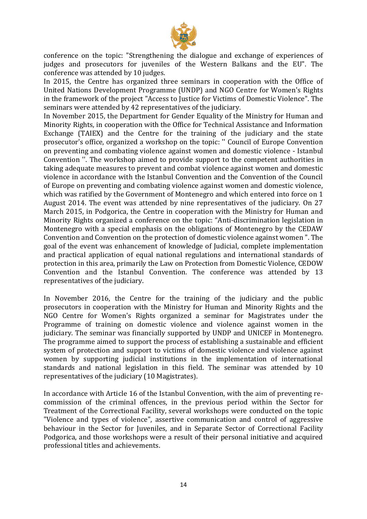

conference on the topic: "Strengthening the dialogue and exchange of experiences of judges and prosecutors for juveniles of the Western Balkans and the EU". The conference was attended by 10 judges.

In 2015, the Centre has organized three seminars in cooperation with the Office of United Nations Development Programme (UNDP) and NGO Centre for Women's Rights in the framework of the project "Access to Justice for Victims of Domestic Violence". The seminars were attended by 42 representatives of the judiciary.

In November 2015, the Department for Gender Equality of the Ministry for Human and Minority Rights, in cooperation with the Office for Technical Assistance and Information Exchange (TAIEX) and the Centre for the training of the judiciary and the state prosecutor's office, organized a workshop on the topic: '' Council of Europe Convention on preventing and combating violence against women and domestic violence - Istanbul Convention ''. The workshop aimed to provide support to the competent authorities in taking adequate measures to prevent and combat violence against women and domestic violence in accordance with the Istanbul Convention and the Convention of the Council of Europe on preventing and combating violence against women and domestic violence, which was ratified by the Government of Montenegro and which entered into force on 1 August 2014. The event was attended by nine representatives of the judiciary. On 27 March 2015, in Podgorica, the Centre in cooperation with the Ministry for Human and Minority Rights organized a conference on the topic: "Anti-discrimination legislation in Montenegro with a special emphasis on the obligations of Montenegro by the CEDAW Convention and Convention on the protection of domestic violence against women ". The goal of the event was enhancement of knowledge of Judicial, complete implementation and practical application of equal national regulations and international standards of protection in this area, primarily the Law on Protection from Domestic Violence, CEDOW Convention and the Istanbul Convention. The conference was attended by 13 representatives of the judiciary.

In November 2016, the Centre for the training of the judiciary and the public prosecutors in cooperation with the Ministry for Human and Minority Rights and the NGO Centre for Women's Rights organized a seminar for Magistrates under the Programme of training on domestic violence and violence against women in the judiciary. The seminar was financially supported by UNDP and UNICEF in Montenegro. The programme aimed to support the process of establishing a sustainable and efficient system of protection and support to victims of domestic violence and violence against women by supporting judicial institutions in the implementation of international standards and national legislation in this field. The seminar was attended by 10 representatives of the judiciary (10 Magistrates).

In accordance with Article 16 of the Istanbul Convention, with the aim of preventing recommission of the criminal offences, in the previous period within the Sector for Treatment of the Correctional Facility, several workshops were conducted on the topic "Violence and types of violence", assertive communication and control of aggressive behaviour in the Sector for Juveniles, and in Separate Sector of Correctional Facility Podgorica, and those workshops were a result of their personal initiative and acquired professional titles and achievements.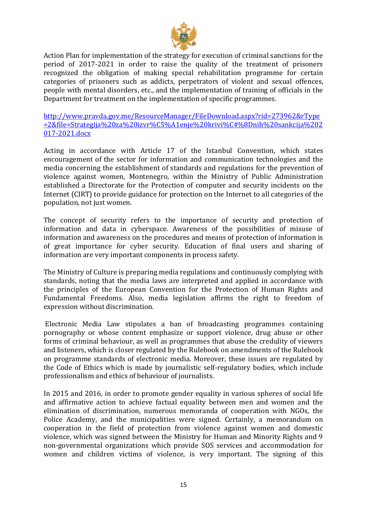

Action Plan for implementation of the strategy for execution of criminal sanctions for the period of 2017-2021 in order to raise the quality of the treatment of prisoners recognized the obligation of making special rehabilitation programme for certain categories of prisoners such as addicts, perpetrators of violent and sexual offences, people with mental disorders, etc., and the implementation of training of officials in the Department for treatment on the implementation of specific programmes.

[http://www.pravda.gov.me/ResourceManager/FileDownload.aspx?rid=273962&rType](http://www.pravda.gov.me/ResourceManager/FileDownload.aspx?rid=273962&rType=2&file=Strategija%20za%20izvr%C5%A1enje%20krivi%C4%8Dnih%20sankcija%202017-2021.docx) [=2&file=Strategija%20za%20izvr%C5%A1enje%20krivi%C4%8Dnih%20sankcija%202](http://www.pravda.gov.me/ResourceManager/FileDownload.aspx?rid=273962&rType=2&file=Strategija%20za%20izvr%C5%A1enje%20krivi%C4%8Dnih%20sankcija%202017-2021.docx) [017-2021.docx](http://www.pravda.gov.me/ResourceManager/FileDownload.aspx?rid=273962&rType=2&file=Strategija%20za%20izvr%C5%A1enje%20krivi%C4%8Dnih%20sankcija%202017-2021.docx)

Acting in accordance with Article 17 of the Istanbul Convention, which states encouragement of the sector for information and communication technologies and the media concerning the establishment of standards and regulations for the prevention of violence against women, Montenegro, within the Ministry of Public Administration established a Directorate for the Protection of computer and security incidents on the Internet (CIRT) to provide guidance for protection on the Internet to all categories of the population, not just women.

The concept of security refers to the importance of security and protection of information and data in cyberspace. Awareness of the possibilities of misuse of information and awareness on the procedures and means of protection of information is of great importance for cyber security. Education of final users and sharing of information are very important components in process safety.

The Ministry of Culture is preparing media regulations and continuously complying with standards, noting that the media laws are interpreted and applied in accordance with the principles of the European Convention for the Protection of Human Rights and Fundamental Freedoms. Also, media legislation affirms the right to freedom of expression without discrimination.

Electronic Media Law stipulates a ban of broadcasting programmes containing pornography or whose content emphasize or support violence, drug abuse or other forms of criminal behaviour, as well as programmes that abuse the credulity of viewers and listeners, which is closer regulated by the Rulebook on amendments of the Rulebook on programme standards of electronic media. Moreover, these issues are regulated by the Code of Ethics which is made by journalistic self-regulatory bodies, which include professionalism and ethics of behaviour of journalists.

In 2015 and 2016, in order to promote gender equality in various spheres of social life and affirmative action to achieve factual equality between men and women and the elimination of discrimination, numerous memoranda of cooperation with NGOs, the Police Academy, and the municipalities were signed. Certainly, a memorandum on cooperation in the field of protection from violence against women and domestic violence, which was signed between the Ministry for Human and Minority Rights and 9 non-governmental organizations which provide SOS services and accommodation for women and children victims of violence, is very important. The signing of this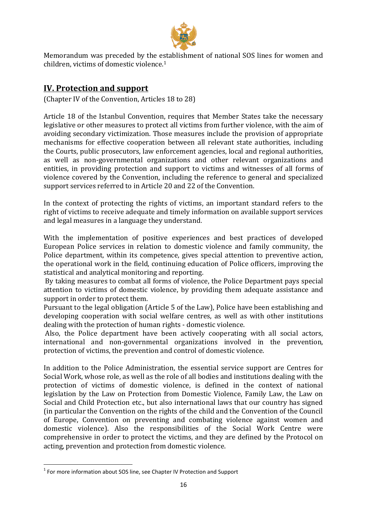

Memorandum was preceded by the establishment of national SOS lines for women and children, victims of domestic violence. 1

# <span id="page-15-0"></span>**IV. Protection and support**

(Chapter IV of the Convention, Articles 18 to 28)

Article 18 of the Istanbul Convention, requires that Member States take the necessary legislative or other measures to protect all victims from further violence, with the aim of avoiding secondary victimization. Those measures include the provision of appropriate mechanisms for effective cooperation between all relevant state authorities, including the Courts, public prosecutors, law enforcement agencies, local and regional authorities, as well as non-governmental organizations and other relevant organizations and entities, in providing protection and support to victims and witnesses of all forms of violence covered by the Convention, including the reference to general and specialized support services referred to in Article 20 and 22 of the Convention.

In the context of protecting the rights of victims, an important standard refers to the right of victims to receive adequate and timely information on available support services and legal measures in a language they understand.

With the implementation of positive experiences and best practices of developed European Police services in relation to domestic violence and family community, the Police department, within its competence, gives special attention to preventive action, the operational work in the field, continuing education of Police officers, improving the statistical and analytical monitoring and reporting.

By taking measures to combat all forms of violence, the Police Department pays special attention to victims of domestic violence, by providing them adequate assistance and support in order to protect them.

Pursuant to the legal obligation (Article 5 of the Law), Police have been establishing and developing cooperation with social welfare centres, as well as with other institutions dealing with the protection of human rights - domestic violence.

Also, the Police department have been actively cooperating with all social actors, international and non-governmental organizations involved in the prevention, protection of victims, the prevention and control of domestic violence.

In addition to the Police Administration, the essential service support are Centres for Social Work, whose role, as well as the role of all bodies and institutions dealing with the protection of victims of domestic violence, is defined in the context of national legislation by the Law on Protection from Domestic Violence, Family Law, the Law on Social and Child Protection etc., but also international laws that our country has signed (in particular the Convention on the rights of the child and the Convention of the Council of Europe, Convention on preventing and combating violence against women and domestic violence). Also the responsibilities of the Social Work Centre were comprehensive in order to protect the victims, and they are defined by the Protocol on acting, prevention and protection from domestic violence.

**.** 

 $<sup>1</sup>$  For more information about SOS line, see Chapter IV Protection and Support</sup>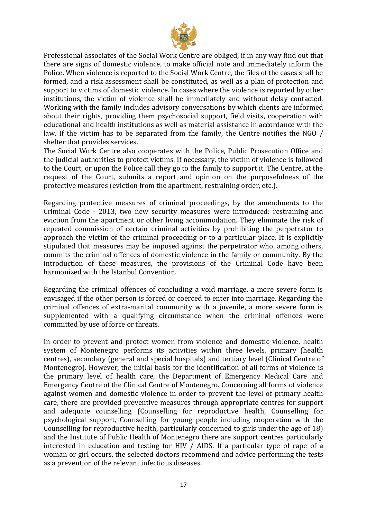

Professional associates of the Social Work Centre are obliged, if in any way find out that there are signs of domestic violence, to make official note and immediately inform the Police. When violence is reported to the Social Work Centre, the files of the cases shall be formed, and a risk assessment shall be constituted, as well as a plan of protection and support to victims of domestic violence. In cases where the violence is reported by other institutions, the victim of violence shall be immediately and without delay contacted. Working with the family includes advisory conversations by which clients are informed about their rights, providing them psychosocial support, field visits, cooperation with educational and health institutions as well as material assistance in accordance with the law. If the victim has to be separated from the family, the Centre notifies the NGO / shelter that provides services.

The Social Work Centre also cooperates with the Police, Public Prosecution Office and the judicial authorities to protect victims. If necessary, the victim of violence is followed to the Court, or upon the Police call they go to the family to support it. The Centre, at the request of the Court, submits a report and opinion on the purposefulness of the protective measures (eviction from the apartment, restraining order, etc.).

Regarding protective measures of criminal proceedings, by the amendments to the Criminal Code - 2013, two new security measures were introduced: restraining and eviction from the apartment or other living accommodation. They eliminate the risk of repeated commission of certain criminal activities by prohibiting the perpetrator to approach the victim of the criminal proceeding or to a particular place. It is explicitly stipulated that measures may be imposed against the perpetrator who, among others, commits the criminal offences of domestic violence in the family or community. By the introduction of these measures, the provisions of the Criminal Code have been harmonized with the Istanbul Convention.

Regarding the criminal offences of concluding a void marriage, a more severe form is envisaged if the other person is forced or coerced to enter into marriage. Regarding the criminal offences of extra-marital community with a juvenile, a more severe form is supplemented with a qualifying circumstance when the criminal offences were committed by use of force or threats.

In order to prevent and protect women from violence and domestic violence, health system of Montenegro performs its activities within three levels, primary (health centres), secondary (general and special hospitals) and tertiary level (Clinical Centre of Montenegro). However, the initial basis for the identification of all forms of violence is the primary level of health care, the Department of Emergency Medical Care and Emergency Centre of the Clinical Centre of Montenegro. Concerning all forms of violence against women and domestic violence in order to prevent the level of primary health care, there are provided preventive measures through appropriate centres for support and adequate counselling (Counselling for reproductive health, Counselling for psychological support, Counselling for young people including cooperation with the Counselling for reproductive health, particularly concerned to girls under the age of 18) and the Institute of Public Health of Montenegro there are support centres particularly interested in education and testing for HIV / AIDS. If a particular type of rape of a woman or girl occurs, the selected doctors recommend and advice performing the tests as a prevention of the relevant infectious diseases.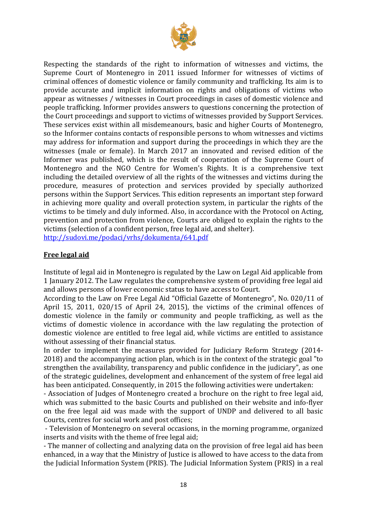

Respecting the standards of the right to information of witnesses and victims, the Supreme Court of Montenegro in 2011 issued Informer for witnesses of victims of criminal offences of domestic violence or family community and trafficking. Its aim is to provide accurate and implicit information on rights and obligations of victims who appear as witnesses / witnesses in Court proceedings in cases of domestic violence and people trafficking. Informer provides answers to questions concerning the protection of the Court proceedings and support to victims of witnesses provided by Support Services. These services exist within all misdemeanours, basic and higher Courts of Montenegro, so the Informer contains contacts of responsible persons to whom witnesses and victims may address for information and support during the proceedings in which they are the witnesses (male or female). In March 2017 an innovated and revised edition of the Informer was published, which is the result of cooperation of the Supreme Court of Montenegro and the NGO Centre for Women's Rights. It is a comprehensive text including the detailed overview of all the rights of the witnesses and victims during the procedure, measures of protection and services provided by specially authorized persons within the Support Services. This edition represents an important step forward in achieving more quality and overall protection system, in particular the rights of the victims to be timely and duly informed. Also, in accordance with the Protocol on Acting, prevention and protection from violence, Courts are obliged to explain the rights to the victims (selection of a confident person, free legal aid, and shelter). <http://sudovi.me/podaci/vrhs/dokumenta/641.pdf>

#### **Free legal aid**

Institute of legal aid in Montenegro is regulated by the Law on Legal Aid applicable from 1 January 2012. The Law regulates the comprehensive system of providing free legal aid and allows persons of lower economic status to have access to Court.

According to the Law on Free Legal Aid "Official Gazette of Montenegro", No. 020/11 of April 15, 2011, 020/15 of April 24, 2015), the victims of the criminal offences of domestic violence in the family or community and people trafficking, as well as the victims of domestic violence in accordance with the law regulating the protection of domestic violence are entitled to free legal aid, while victims are entitled to assistance without assessing of their financial status.

In order to implement the measures provided for Judiciary Reform Strategy (2014- 2018) and the accompanying action plan, which is in the context of the strategic goal "to strengthen the availability, transparency and public confidence in the judiciary", as one of the strategic guidelines, development and enhancement of the system of free legal aid has been anticipated. Consequently, in 2015 the following activities were undertaken:

- Association of Judges of Montenegro created a brochure on the right to free legal aid, which was submitted to the basic Courts and published on their website and info-flyer on the free legal aid was made with the support of UNDP and delivered to all basic Courts, centres for social work and post offices;

- Television of Montenegro on several occasions, in the morning programme, organized inserts and visits with the theme of free legal aid;

- The manner of collecting and analyzing data on the provision of free legal aid has been enhanced, in a way that the Ministry of Justice is allowed to have access to the data from the Judicial Information System (PRIS). The Judicial Information System (PRIS) in a real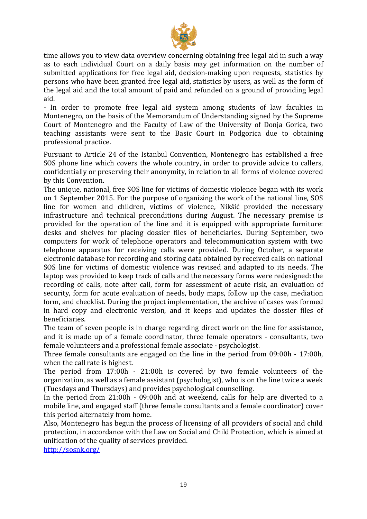

time allows you to view data overview concerning obtaining free legal aid in such a way as to each individual Court on a daily basis may get information on the number of submitted applications for free legal aid, decision-making upon requests, statistics by persons who have been granted free legal aid, statistics by users, as well as the form of the legal aid and the total amount of paid and refunded on a ground of providing legal aid.

- In order to promote free legal aid system among students of law faculties in Montenegro, on the basis of the Memorandum of Understanding signed by the Supreme Court of Montenegro and the Faculty of Law of the University of Donja Gorica, two teaching assistants were sent to the Basic Court in Podgorica due to obtaining professional practice.

Pursuant to Article 24 of the Istanbul Convention, Montenegro has established a free SOS phone line which covers the whole country, in order to provide advice to callers, confidentially or preserving their anonymity, in relation to all forms of violence covered by this Convention.

The unique, national, free SOS line for victims of domestic violence began with its work on 1 September 2015. For the purpose of organizing the work of the national line, SOS line for women and children, victims of violence, Nikšić provided the necessary infrastructure and technical preconditions during August. The necessary premise is provided for the operation of the line and it is equipped with appropriate furniture: desks and shelves for placing dossier files of beneficiaries. During September, two computers for work of telephone operators and telecommunication system with two telephone apparatus for receiving calls were provided. During October, a separate electronic database for recording and storing data obtained by received calls on national SOS line for victims of domestic violence was revised and adapted to its needs. The laptop was provided to keep track of calls and the necessary forms were redesigned: the recording of calls, note after call, form for assessment of acute risk, an evaluation of security, form for acute evaluation of needs, body maps, follow up the case, mediation form, and checklist. During the project implementation, the archive of cases was formed in hard copy and electronic version, and it keeps and updates the dossier files of beneficiaries.

The team of seven people is in charge regarding direct work on the line for assistance, and it is made up of a female coordinator, three female operators - consultants, two female volunteers and a professional female associate - psychologist.

Three female consultants are engaged on the line in the period from 09:00h - 17:00h, when the call rate is highest.

The period from 17:00h - 21:00h is covered by two female volunteers of the organization, as well as a female assistant (psychologist), who is on the line twice a week (Tuesdays and Thursdays) and provides psychological counselling.

In the period from 21:00h - 09:00h and at weekend, calls for help are diverted to a mobile line, and engaged staff (three female consultants and a female coordinator) cover this period alternately from home.

Also, Montenegro has begun the process of licensing of all providers of social and child protection, in accordance with the Law on Social and Child Protection, which is aimed at unification of the quality of services provided.

<http://sosnk.org/>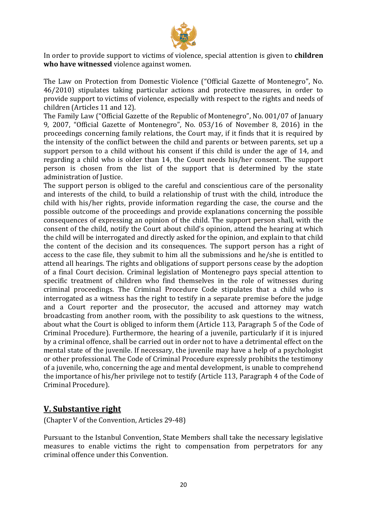

In order to provide support to victims of violence, special attention is given to **children who have witnessed** violence against women.

The Law on Protection from Domestic Violence ("Official Gazette of Montenegro", No. 46/2010) stipulates taking particular actions and protective measures, in order to provide support to victims of violence, especially with respect to the rights and needs of children (Articles 11 and 12).

The Family Law ("Official Gazette of the Republic of Montenegro", No. 001/07 of January 9, 2007, "Official Gazette of Montenegro", No. 053/16 of November 8, 2016) in the proceedings concerning family relations, the Court may, if it finds that it is required by the intensity of the conflict between the child and parents or between parents, set up a support person to a child without his consent if this child is under the age of 14, and regarding a child who is older than 14, the Court needs his/her consent. The support person is chosen from the list of the support that is determined by the state administration of Justice.

The support person is obliged to the careful and conscientious care of the personality and interests of the child, to build a relationship of trust with the child, introduce the child with his/her rights, provide information regarding the case, the course and the possible outcome of the proceedings and provide explanations concerning the possible consequences of expressing an opinion of the child. The support person shall, with the consent of the child, notify the Court about child's opinion, attend the hearing at which the child will be interrogated and directly asked for the opinion, and explain to that child the content of the decision and its consequences. The support person has a right of access to the case file, they submit to him all the submissions and he/she is entitled to attend all hearings. The rights and obligations of support persons cease by the adoption of a final Court decision. Criminal legislation of Montenegro pays special attention to specific treatment of children who find themselves in the role of witnesses during criminal proceedings. The Criminal Procedure Code stipulates that a child who is interrogated as a witness has the right to testify in a separate premise before the judge and a Court reporter and the prosecutor, the accused and attorney may watch broadcasting from another room, with the possibility to ask questions to the witness, about what the Court is obliged to inform them (Article 113, Paragraph 5 of the Code of Criminal Procedure). Furthermore, the hearing of a juvenile, particularly if it is injured by a criminal offence, shall be carried out in order not to have a detrimental effect on the mental state of the juvenile. If necessary, the juvenile may have a help of a psychologist or other professional. The Code of Criminal Procedure expressly prohibits the testimony of a juvenile, who, concerning the age and mental development, is unable to comprehend the importance of his/her privilege not to testify (Article 113, Paragraph 4 of the Code of Criminal Procedure).

## <span id="page-19-0"></span>**V. Substantive right**

(Chapter V of the Convention, Articles 29-48)

Pursuant to the Istanbul Convention, State Members shall take the necessary legislative measures to enable victims the right to compensation from perpetrators for any criminal offence under this Convention.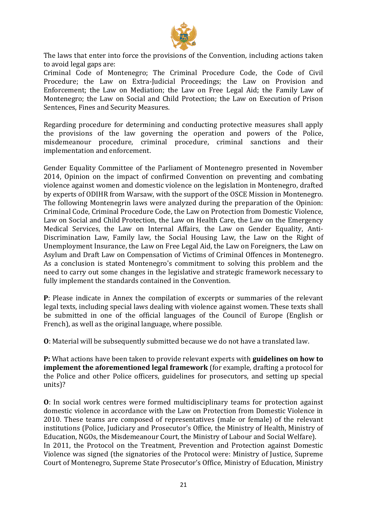

The laws that enter into force the provisions of the Convention, including actions taken to avoid legal gaps are:

Criminal Code of Montenegro; The Criminal Procedure Code, the Code of Civil Procedure; the Law on Extra-Judicial Proceedings; the Law on Provision and Enforcement; the Law on Mediation; the Law on Free Legal Aid; the Family Law of Montenegro; the Law on Social and Child Protection; the Law on Execution of Prison Sentences, Fines and Security Measures.

Regarding procedure for determining and conducting protective measures shall apply the provisions of the law governing the operation and powers of the Police, misdemeanour procedure, criminal procedure, criminal sanctions and their implementation and enforcement.

Gender Equality Committee of the Parliament of Montenegro presented in November 2014, Opinion on the impact of confirmed Convention on preventing and combating violence against women and domestic violence on the legislation in Montenegro, drafted by experts of ODIHR from Warsaw, with the support of the OSCE Mission in Montenegro. The following Montenegrin laws were analyzed during the preparation of the Opinion: Criminal Code, Criminal Procedure Code, the Law on Protection from Domestic Violence, Law on Social and Child Protection, the Law on Health Care, the Law on the Emergency Medical Services, the Law on Internal Affairs, the Law on Gender Equality, Anti-Discrimination Law, Family law, the Social Housing Law, the Law on the Right of Unemployment Insurance, the Law on Free Legal Aid, the Law on Foreigners, the Law on Asylum and Draft Law on Compensation of Victims of Criminal Offences in Montenegro. As a conclusion is stated Montenegro's commitment to solving this problem and the need to carry out some changes in the legislative and strategic framework necessary to fully implement the standards contained in the Convention.

**P**: Please indicate in Annex the compilation of excerpts or summaries of the relevant legal texts, including special laws dealing with violence against women. These texts shall be submitted in one of the official languages of the Council of Europe (English or French), as well as the original language, where possible.

**O**: Material will be subsequently submitted because we do not have a translated law.

**P:** What actions have been taken to provide relevant experts with **guidelines on how to implement the aforementioned legal framework** (for example, drafting a protocol for the Police and other Police officers, guidelines for prosecutors, and setting up special units)?

**O**: In social work centres were formed multidisciplinary teams for protection against domestic violence in accordance with the Law on Protection from Domestic Violence in 2010. These teams are composed of representatives (male or female) of the relevant institutions (Police, Judiciary and Prosecutor's Office, the Ministry of Health, Ministry of Education, NGOs, the Misdemeanour Court, the Ministry of Labour and Social Welfare). In 2011, the Protocol on the Treatment, Prevention and Protection against Domestic Violence was signed (the signatories of the Protocol were: Ministry of Justice, Supreme Court of Montenegro, Supreme State Prosecutor's Office, Ministry of Education, Ministry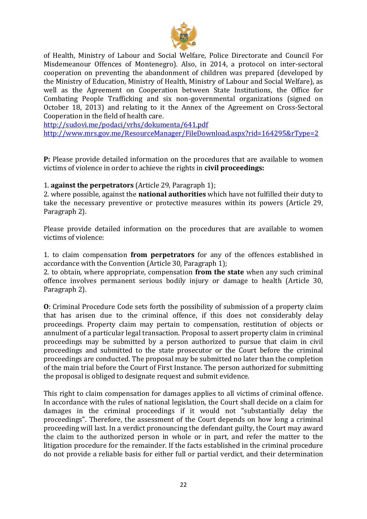

of Health, Ministry of Labour and Social Welfare, Police Directorate and Council For Misdemeanour Offences of Montenegro). Also, in 2014, a protocol on inter-sectoral cooperation on preventing the abandonment of children was prepared (developed by the Ministry of Education, Ministry of Health, Ministry of Labour and Social Welfare), as well as the Agreement on Cooperation between State Institutions, the Office for Combating People Trafficking and six non-governmental organizations (signed on October 18, 2013) and relating to it the Annex of the Agreement on Cross-Sectoral Cooperation in the field of health care.

<http://sudovi.me/podaci/vrhs/dokumenta/641.pdf>

<http://www.mrs.gov.me/ResourceManager/FileDownload.aspx?rid=164295&rType=2>

**P:** Please provide detailed information on the procedures that are available to women victims of violence in order to achieve the rights in **civil proceedings:**

#### 1. **against the perpetrators** (Article 29, Paragraph 1);

2. where possible, against the **national authorities** which have not fulfilled their duty to take the necessary preventive or protective measures within its powers (Article 29, Paragraph 2).

Please provide detailed information on the procedures that are available to women victims of violence:

1. to claim compensation **from perpetrators** for any of the offences established in accordance with the Convention (Article 30, Paragraph 1);

2. to obtain, where appropriate, compensation **from the state** when any such criminal offence involves permanent serious bodily injury or damage to health (Article 30, Paragraph 2).

**O**: Criminal Procedure Code sets forth the possibility of submission of a property claim that has arisen due to the criminal offence, if this does not considerably delay proceedings. Property claim may pertain to compensation, restitution of objects or annulment of a particular legal transaction. Proposal to assert property claim in criminal proceedings may be submitted by a person authorized to pursue that claim in civil proceedings and submitted to the state prosecutor or the Court before the criminal proceedings are conducted. The proposal may be submitted no later than the completion of the main trial before the Court of First Instance. The person authorized for submitting the proposal is obliged to designate request and submit evidence.

This right to claim compensation for damages applies to all victims of criminal offence. In accordance with the rules of national legislation, the Court shall decide on a claim for damages in the criminal proceedings if it would not "substantially delay the proceedings". Therefore, the assessment of the Court depends on how long a criminal proceeding will last. In a verdict pronouncing the defendant guilty, the Court may award the claim to the authorized person in whole or in part, and refer the matter to the litigation procedure for the remainder. If the facts established in the criminal procedure do not provide a reliable basis for either full or partial verdict, and their determination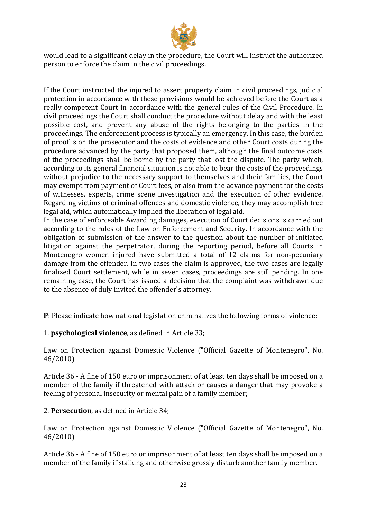

would lead to a significant delay in the procedure, the Court will instruct the authorized person to enforce the claim in the civil proceedings.

If the Court instructed the injured to assert property claim in civil proceedings, judicial protection in accordance with these provisions would be achieved before the Court as a really competent Court in accordance with the general rules of the Civil Procedure. In civil proceedings the Court shall conduct the procedure without delay and with the least possible cost, and prevent any abuse of the rights belonging to the parties in the proceedings. The enforcement process is typically an emergency. In this case, the burden of proof is on the prosecutor and the costs of evidence and other Court costs during the procedure advanced by the party that proposed them, although the final outcome costs of the proceedings shall be borne by the party that lost the dispute. The party which, according to its general financial situation is not able to bear the costs of the proceedings without prejudice to the necessary support to themselves and their families, the Court may exempt from payment of Court fees, or also from the advance payment for the costs of witnesses, experts, crime scene investigation and the execution of other evidence. Regarding victims of criminal offences and domestic violence, they may accomplish free legal aid, which automatically implied the liberation of legal aid.

In the case of enforceable Awarding damages, execution of Court decisions is carried out according to the rules of the Law on Enforcement and Security. In accordance with the obligation of submission of the answer to the question about the number of initiated litigation against the perpetrator, during the reporting period, before all Courts in Montenegro women injured have submitted a total of 12 claims for non-pecuniary damage from the offender. In two cases the claim is approved, the two cases are legally finalized Court settlement, while in seven cases, proceedings are still pending. In one remaining case, the Court has issued a decision that the complaint was withdrawn due to the absence of duly invited the offender's attorney.

**P**: Please indicate how national legislation criminalizes the following forms of violence:

1. **psychological violence**, as defined in Article 33;

Law on Protection against Domestic Violence ("Official Gazette of Montenegro", No. 46/2010)

Article 36 - A fine of 150 euro or imprisonment of at least ten days shall be imposed on a member of the family if threatened with attack or causes a danger that may provoke a feeling of personal insecurity or mental pain of a family member;

### 2. **Persecution**, as defined in Article 34;

Law on Protection against Domestic Violence ("Official Gazette of Montenegro", No. 46/2010)

Article 36 - A fine of 150 euro or imprisonment of at least ten days shall be imposed on a member of the family if stalking and otherwise grossly disturb another family member.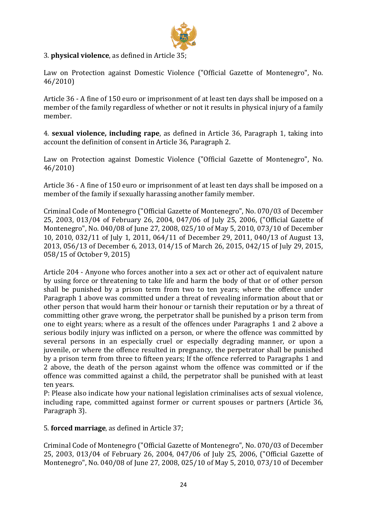

### 3. **physical violence**, as defined in Article 35;

Law on Protection against Domestic Violence ("Official Gazette of Montenegro", No. 46/2010)

Article 36 - A fine of 150 euro or imprisonment of at least ten days shall be imposed on a member of the family regardless of whether or not it results in physical injury of a family member.

4. **sexual violence, including rape**, as defined in Article 36, Paragraph 1, taking into account the definition of consent in Article 36, Paragraph 2.

Law on Protection against Domestic Violence ("Official Gazette of Montenegro", No. 46/2010)

Article 36 - A fine of 150 euro or imprisonment of at least ten days shall be imposed on a member of the family if sexually harassing another family member.

Criminal Code of Montenegro ("Official Gazette of Montenegro", No. 070/03 of December 25, 2003, 013/04 of February 26, 2004, 047/06 of July 25, 2006, ("Official Gazette of Montenegro", No. 040/08 of June 27, 2008, 025/10 of May 5, 2010, 073/10 of December 10, 2010, 032/11 of July 1, 2011, 064/11 of December 29, 2011, 040/13 of August 13, 2013, 056/13 of December 6, 2013, 014/15 of March 26, 2015, 042/15 of July 29, 2015, 058/15 of October 9, 2015)

Article 204 - Anyone who forces another into a sex act or other act of equivalent nature by using force or threatening to take life and harm the body of that or of other person shall be punished by a prison term from two to ten years; where the offence under Paragraph 1 above was committed under a threat of revealing information about that or other person that would harm their honour or tarnish their reputation or by a threat of committing other grave wrong, the perpetrator shall be punished by a prison term from one to eight years; where as a result of the offences under Paragraphs 1 and 2 above a serious bodily injury was inflicted on a person, or where the offence was committed by several persons in an especially cruel or especially degrading manner, or upon a juvenile, or where the offence resulted in pregnancy, the perpetrator shall be punished by a prison term from three to fifteen years; If the offence referred to Paragraphs 1 and 2 above, the death of the person against whom the offence was committed or if the offence was committed against a child, the perpetrator shall be punished with at least ten years.

P: Please also indicate how your national legislation criminalises acts of sexual violence, including rape, committed against former or current spouses or partners (Article 36, Paragraph 3).

5. **forced marriage**, as defined in Article 37;

Criminal Code of Montenegro ("Official Gazette of Montenegro", No. 070/03 of December 25, 2003, 013/04 of February 26, 2004, 047/06 of July 25, 2006, ("Official Gazette of Montenegro", No. 040/08 of June 27, 2008, 025/10 of May 5, 2010, 073/10 of December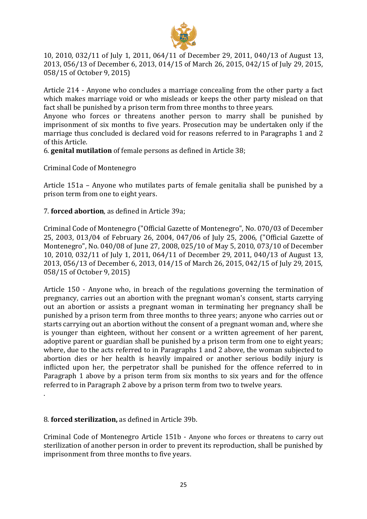

10, 2010, 032/11 of July 1, 2011, 064/11 of December 29, 2011, 040/13 of August 13, 2013, 056/13 of December 6, 2013, 014/15 of March 26, 2015, 042/15 of July 29, 2015, 058/15 of October 9, 2015)

Article 214 - Anyone who concludes a marriage concealing from the other party a fact which makes marriage void or who misleads or keeps the other party mislead on that fact shall be punished by a prison term from three months to three years.

Anyone who forces or threatens another person to marry shall be punished by imprisonment of six months to five years. Prosecution may be undertaken only if the marriage thus concluded is declared void for reasons referred to in Paragraphs 1 and 2 of this Article.

6. **genital mutilation** of female persons as defined in Article 38;

Criminal Code of Montenegro

Article 151a – Anyone who mutilates parts of female genitalia shall be punished by a prison term from one to eight years.

7. **forced abortion**, as defined in Article 39a;

Criminal Code of Montenegro ("Official Gazette of Montenegro", No. 070/03 of December 25, 2003, 013/04 of February 26, 2004, 047/06 of July 25, 2006, ("Official Gazette of Montenegro", No. 040/08 of June 27, 2008, 025/10 of May 5, 2010, 073/10 of December 10, 2010, 032/11 of July 1, 2011, 064/11 of December 29, 2011, 040/13 of August 13, 2013, 056/13 of December 6, 2013, 014/15 of March 26, 2015, 042/15 of July 29, 2015, 058/15 of October 9, 2015)

Article 150 - Anyone who, in breach of the regulations governing the termination of pregnancy, carries out an abortion with the pregnant woman's consent, starts carrying out an abortion or assists a pregnant woman in terminating her pregnancy shall be punished by a prison term from three months to three years; anyone who carries out or starts carrying out an abortion without the consent of a pregnant woman and, where she is younger than eighteen, without her consent or a written agreement of her parent, adoptive parent or guardian shall be punished by a prison term from one to eight years; where, due to the acts referred to in Paragraphs 1 and 2 above, the woman subjected to abortion dies or her health is heavily impaired or another serious bodily injury is inflicted upon her, the perpetrator shall be punished for the offence referred to in Paragraph 1 above by a prison term from six months to six years and for the offence referred to in Paragraph 2 above by a prison term from two to twelve years.

#### 8. **forced sterilization,** as defined in Article 39b.

.

Criminal Code of Montenegro Article 151b - Anyone who forces or threatens to carry out sterilization of another person in order to prevent its reproduction, shall be punished by imprisonment from three months to five years.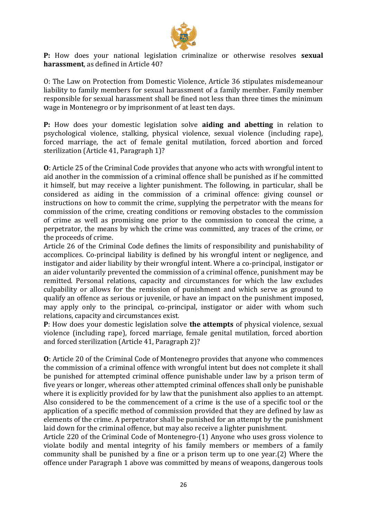

**P:** How does your national legislation criminalize or otherwise resolves **sexual harassment**, as defined in Article 40?

O: The Law on Protection from Domestic Violence, Article 36 stipulates misdemeanour liability to family members for sexual harassment of a family member. Family member responsible for sexual harassment shall be fined not less than three times the minimum wage in Montenegro or by imprisonment of at least ten days.

**P:** How does your domestic legislation solve **aiding and abetting** in relation to psychological violence, stalking, physical violence, sexual violence (including rape), forced marriage, the act of female genital mutilation, forced abortion and forced sterilization (Article 41, Paragraph 1)?

**O**: Article 25 of the Criminal Code provides that anyone who acts with wrongful intent to aid another in the commission of a criminal offence shall be punished as if he committed it himself, but may receive a lighter punishment. The following, in particular, shall be considered as aiding in the commission of a criminal offence: giving counsel or instructions on how to commit the crime, supplying the perpetrator with the means for commission of the crime, creating conditions or removing obstacles to the commission of crime as well as promising one prior to the commission to conceal the crime, a perpetrator, the means by which the crime was committed, any traces of the crime, or the proceeds of crime.

Article 26 of the Criminal Code defines the limits of responsibility and punishability of accomplices. Co-principal liability is defined by his wrongful intent or negligence, and instigator and aider liability by their wrongful intent. Where a co-principal, instigator or an aider voluntarily prevented the commission of a criminal offence, punishment may be remitted. Personal relations, capacity and circumstances for which the law excludes culpability or allows for the remission of punishment and which serve as ground to qualify an offence as serious or juvenile, or have an impact on the punishment imposed, may apply only to the principal, co-principal, instigator or aider with whom such relations, capacity and circumstances exist.

**P**: How does your domestic legislation solve **the attempts** of physical violence, sexual violence (including rape), forced marriage, female genital mutilation, forced abortion and forced sterilization (Article 41, Paragraph 2)?

**O**: Article 20 of the Criminal Code of Montenegro provides that anyone who commences the commission of a criminal offence with wrongful intent but does not complete it shall be punished for attempted criminal offence punishable under law by a prison term of five years or longer, whereas other attempted criminal offences shall only be punishable where it is explicitly provided for by law that the punishment also applies to an attempt. Also considered to be the commencement of a crime is the use of a specific tool or the application of a specific method of commission provided that they are defined by law as elements of the crime. A perpetrator shall be punished for an attempt by the punishment laid down for the criminal offence, but may also receive a lighter punishment.

Article 220 of the Criminal Code of Montenegro-(1) Anyone who uses gross violence to violate bodily and mental integrity of his family members or members of a family community shall be punished by a fine or a prison term up to one year.(2) Where the offence under Paragraph 1 above was committed by means of weapons, dangerous tools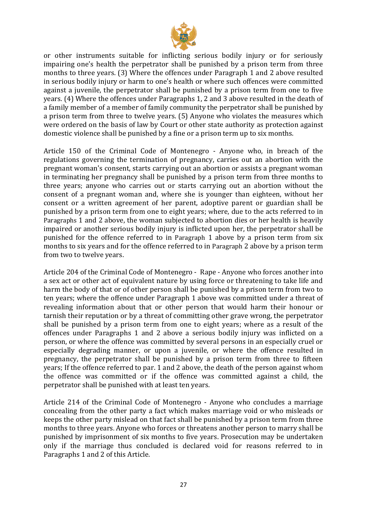

or other instruments suitable for inflicting serious bodily injury or for seriously impairing one's health the perpetrator shall be punished by a prison term from three months to three years. (3) Where the offences under Paragraph 1 and 2 above resulted in serious bodily injury or harm to one's health or where such offences were committed against a juvenile, the perpetrator shall be punished by a prison term from one to five years. (4) Where the offences under Paragraphs 1, 2 and 3 above resulted in the death of a family member of a member of family community the perpetrator shall be punished by a prison term from three to twelve years. (5) Anyone who violates the measures which were ordered on the basis of law by Court or other state authority as protection against domestic violence shall be punished by a fine or a prison term up to six months.

Article 150 of the Criminal Code of Montenegro - Anyone who, in breach of the regulations governing the termination of pregnancy, carries out an abortion with the pregnant woman's consent, starts carrying out an abortion or assists a pregnant woman in terminating her pregnancy shall be punished by a prison term from three months to three years; anyone who carries out or starts carrying out an abortion without the consent of a pregnant woman and, where she is younger than eighteen, without her consent or a written agreement of her parent, adoptive parent or guardian shall be punished by a prison term from one to eight years; where, due to the acts referred to in Paragraphs 1 and 2 above, the woman subjected to abortion dies or her health is heavily impaired or another serious bodily injury is inflicted upon her, the perpetrator shall be punished for the offence referred to in Paragraph 1 above by a prison term from six months to six years and for the offence referred to in Paragraph 2 above by a prison term from two to twelve years.

Article 204 of the Criminal Code of Montenegro - Rape - Anyone who forces another into a sex act or other act of equivalent nature by using force or threatening to take life and harm the body of that or of other person shall be punished by a prison term from two to ten years; where the offence under Paragraph 1 above was committed under a threat of revealing information about that or other person that would harm their honour or tarnish their reputation or by a threat of committing other grave wrong, the perpetrator shall be punished by a prison term from one to eight years; where as a result of the offences under Paragraphs 1 and 2 above a serious bodily injury was inflicted on a person, or where the offence was committed by several persons in an especially cruel or especially degrading manner, or upon a juvenile, or where the offence resulted in pregnancy, the perpetrator shall be punished by a prison term from three to fifteen years; If the offence referred to par. 1 and 2 above, the death of the person against whom the offence was committed or if the offence was committed against a child, the perpetrator shall be punished with at least ten years.

Article 214 of the Criminal Code of Montenegro - Anyone who concludes a marriage concealing from the other party a fact which makes marriage void or who misleads or keeps the other party mislead on that fact shall be punished by a prison term from three months to three years. Anyone who forces or threatens another person to marry shall be punished by imprisonment of six months to five years. Prosecution may be undertaken only if the marriage thus concluded is declared void for reasons referred to in Paragraphs 1 and 2 of this Article.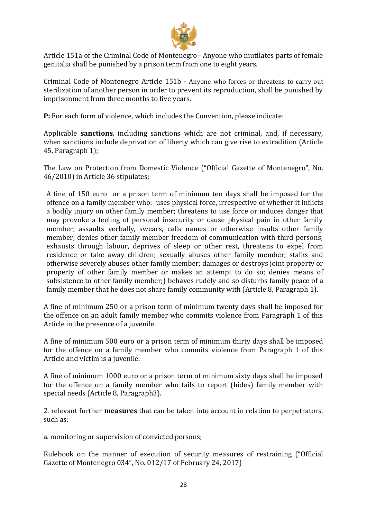

Article 151a of the Criminal Code of Montenegro– Anyone who mutilates parts of female genitalia shall be punished by a prison term from one to eight years.

Criminal Code of Montenegro Article 151b - Anyone who forces or threatens to carry out sterilization of another person in order to prevent its reproduction, shall be punished by imprisonment from three months to five years.

**P:** For each form of violence, which includes the Convention, please indicate:

Applicable **sanctions**, including sanctions which are not criminal, and, if necessary, when sanctions include deprivation of liberty which can give rise to extradition (Article 45, Paragraph 1);

The Law on Protection from Domestic Violence ("Official Gazette of Montenegro", No. 46/2010) in Article 36 stipulates:

A fine of 150 euro or a prison term of minimum ten days shall be imposed for the offence on a family member who: uses physical force, irrespective of whether it inflicts a bodily injury on other family member; threatens to use force or induces danger that may provoke a feeling of personal insecurity or cause physical pain in other family member; assaults verbally, swears, calls names or otherwise insults other family member; denies other family member freedom of communication with third persons; exhausts through labour, deprives of sleep or other rest, threatens to expel from residence or take away children; sexually abuses other family member; stalks and otherwise severely abuses other family member; damages or destroys joint property or property of other family member or makes an attempt to do so; denies means of subsistence to other family member;) behaves rudely and so disturbs family peace of a family member that he does not share family community with (Article 8, Paragraph 1).

A fine of minimum 250 or a prison term of minimum twenty days shall be imposed for the offence on an adult family member who commits violence from Paragraph 1 of this Article in the presence of a juvenile.

A fine of minimum 500 euro or a prison term of minimum thirty days shall be imposed for the offence on a family member who commits violence from Paragraph 1 of this Article and victim is a juvenile.

A fine of minimum 1000 euro or a prison term of minimum sixty days shall be imposed for the offence on a family member who fails to report (hides) family member with special needs (Article 8, Paragraph3).

2. relevant further **measures** that can be taken into account in relation to perpetrators, such as:

a. monitoring or supervision of convicted persons;

Rulebook on the manner of execution of security measures of restraining ("Official Gazette of Montenegro 034", No. 012/17 of February 24, 2017)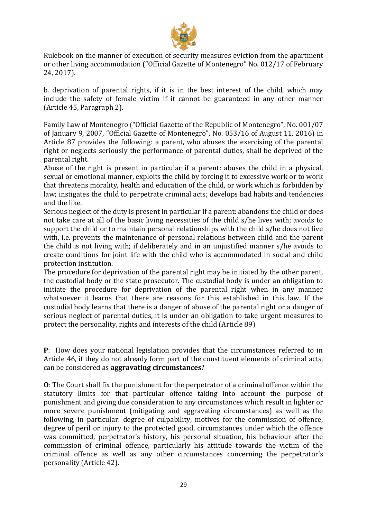

Rulebook on the manner of execution of security measures eviction from the apartment or other living accommodation ("Official Gazette of Montenegro" No. 012/17 of February 24, 2017).

b. deprivation of parental rights, if it is in the best interest of the child, which may include the safety of female victim if it cannot be guaranteed in any other manner (Article 45, Paragraph 2).

Family Law of Montenegro ("Official Gazette of the Republic of Montenegro", No. 001/07 of January 9, 2007, "Official Gazette of Montenegro", No. 053/16 of August 11, 2016) in Article 87 provides the following: a parent, who abuses the exercising of the parental right or neglects seriously the performance of parental duties, shall be deprived of the parental right.

Abuse of the right is present in particular if a parent: abuses the child in a physical, sexual or emotional manner, exploits the child by forcing it to excessive work or to work that threatens morality, health and education of the child, or work which is forbidden by law; instigates the child to perpetrate criminal acts; develops bad habits and tendencies and the like.

Serious neglect of the duty is present in particular if a parent: abandons the child or does not take care at all of the basic living necessities of the child s/he lives with; avoids to support the child or to maintain personal relationships with the child s/he does not live with, i.e. prevents the maintenance of personal relations between child and the parent the child is not living with; if deliberately and in an unjustified manner s/he avoids to create conditions for joint life with the child who is accommodated in social and child protection institution.

The procedure for deprivation of the parental right may be initiated by the other parent, the custodial body or the state prosecutor. The custodial body is under an obligation to initiate the procedure for deprivation of the parental right when in any manner whatsoever it learns that there are reasons for this established in this law. If the custodial body learns that there is a danger of abuse of the parental right or a danger of serious neglect of parental duties, it is under an obligation to take urgent measures to protect the personality, rights and interests of the child (Article 89)

**P**: How does your national legislation provides that the circumstances referred to in Article 46, if they do not already form part of the constituent elements of criminal acts, can be considered as **aggravating circumstances**?

**O**: The Court shall fix the punishment for the perpetrator of a criminal offence within the statutory limits for that particular offence taking into account the purpose of punishment and giving due consideration to any circumstances which result in lighter or more severe punishment (mitigating and aggravating circumstances) as well as the following, in particular: degree of culpability, motives for the commission of offence, degree of peril or injury to the protected good, circumstances under which the offence was committed, perpetrator's history, his personal situation, his behaviour after the commission of criminal offence, particularly his attitude towards the victim of the criminal offence as well as any other circumstances concerning the perpetrator's personality (Article 42).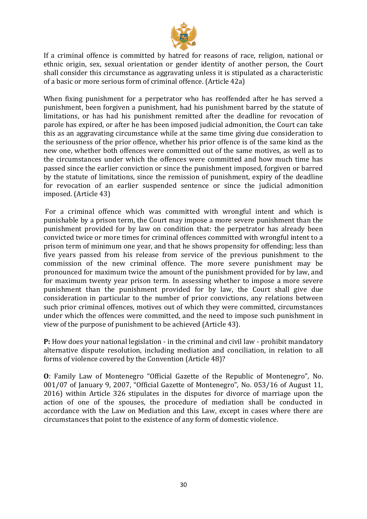

If a criminal offence is committed by hatred for reasons of race, religion, national or ethnic origin, sex, sexual orientation or gender identity of another person, the Court shall consider this circumstance as aggravating unless it is stipulated as a characteristic of a basic or more serious form of criminal offence. (Article 42a)

When fixing punishment for a perpetrator who has reoffended after he has served a punishment, been forgiven a punishment, had his punishment barred by the statute of limitations, or has had his punishment remitted after the deadline for revocation of parole has expired, or after he has been imposed judicial admonition, the Court can take this as an aggravating circumstance while at the same time giving due consideration to the seriousness of the prior offence, whether his prior offence is of the same kind as the new one, whether both offences were committed out of the same motives, as well as to the circumstances under which the offences were committed and how much time has passed since the earlier conviction or since the punishment imposed, forgiven or barred by the statute of limitations, since the remission of punishment, expiry of the deadline for revocation of an earlier suspended sentence or since the judicial admonition imposed. (Article 43)

For a criminal offence which was committed with wrongful intent and which is punishable by a prison term, the Court may impose a more severe punishment than the punishment provided for by law on condition that: the perpetrator has already been convicted twice or more times for criminal offences committed with wrongful intent to a prison term of minimum one year, and that he shows propensity for offending; less than five years passed from his release from service of the previous punishment to the commission of the new criminal offence. The more severe punishment may be pronounced for maximum twice the amount of the punishment provided for by law, and for maximum twenty year prison term. In assessing whether to impose a more severe punishment than the punishment provided for by law, the Court shall give due consideration in particular to the number of prior convictions, any relations between such prior criminal offences, motives out of which they were committed, circumstances under which the offences were committed, and the need to impose such punishment in view of the purpose of punishment to be achieved (Article 43).

**P:** How does your national legislation - in the criminal and civil law - prohibit mandatory alternative dispute resolution, including mediation and conciliation, in relation to all forms of violence covered by the Convention (Article 48)?

**O**: Family Law of Montenegro "Official Gazette of the Republic of Montenegro", No. 001/07 of January 9, 2007, "Official Gazette of Montenegro", No. 053/16 of August 11, 2016) within Article 326 stipulates in the disputes for divorce of marriage upon the action of one of the spouses, the procedure of mediation shall be conducted in accordance with the Law on Mediation and this Law, except in cases where there are circumstances that point to the existence of any form of domestic violence.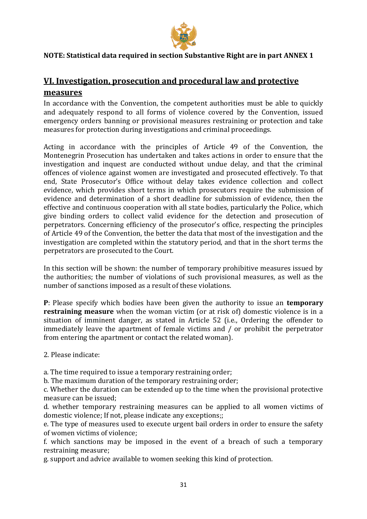

### <span id="page-30-1"></span><span id="page-30-0"></span>**NOTE: Statistical data required in section Substantive Right are in part ANNEX 1**

## **VI. Investigation, prosecution and procedural law and protective measures**

In accordance with the Convention, the competent authorities must be able to quickly and adequately respond to all forms of violence covered by the Convention, issued emergency orders banning or provisional measures restraining or protection and take measures for protection during investigations and criminal proceedings.

Acting in accordance with the principles of Article 49 of the Convention, the Montenegrin Prosecution has undertaken and takes actions in order to ensure that the investigation and inquest are conducted without undue delay, and that the criminal offences of violence against women are investigated and prosecuted effectively. To that end, State Prosecutor's Office without delay takes evidence collection and collect evidence, which provides short terms in which prosecutors require the submission of evidence and determination of a short deadline for submission of evidence, then the effective and continuous cooperation with all state bodies, particularly the Police, which give binding orders to collect valid evidence for the detection and prosecution of perpetrators. Concerning efficiency of the prosecutor's office, respecting the principles of Article 49 of the Convention, the better the data that most of the investigation and the investigation are completed within the statutory period, and that in the short terms the perpetrators are prosecuted to the Court.

In this section will be shown: the number of temporary prohibitive measures issued by the authorities; the number of violations of such provisional measures, as well as the number of sanctions imposed as a result of these violations.

**P**: Please specify which bodies have been given the authority to issue an **temporary restraining measure** when the woman victim (or at risk of) domestic violence is in a situation of imminent danger, as stated in Article 52 (i.e., Ordering the offender to immediately leave the apartment of female victims and / or prohibit the perpetrator from entering the apartment or contact the related woman).

2. Please indicate:

a. The time required to issue a temporary restraining order;

b. The maximum duration of the temporary restraining order;

c. Whether the duration can be extended up to the time when the provisional protective measure can be issued;

d. whether temporary restraining measures can be applied to all women victims of domestic violence; If not, please indicate any exceptions;;

e. The type of measures used to execute urgent bail orders in order to ensure the safety of women victims of violence;

f. which sanctions may be imposed in the event of a breach of such a temporary restraining measure;

g. support and advice available to women seeking this kind of protection.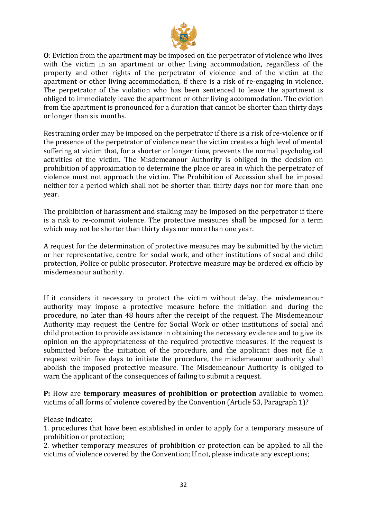

**O**: Eviction from the apartment may be imposed on the perpetrator of violence who lives with the victim in an apartment or other living accommodation, regardless of the property and other rights of the perpetrator of violence and of the victim at the apartment or other living accommodation, if there is a risk of re-engaging in violence. The perpetrator of the violation who has been sentenced to leave the apartment is obliged to immediately leave the apartment or other living accommodation. The eviction from the apartment is pronounced for a duration that cannot be shorter than thirty days or longer than six months.

Restraining order may be imposed on the perpetrator if there is a risk of re-violence or if the presence of the perpetrator of violence near the victim creates a high level of mental suffering at victim that, for a shorter or longer time, prevents the normal psychological activities of the victim. The Misdemeanour Authority is obliged in the decision on prohibition of approximation to determine the place or area in which the perpetrator of violence must not approach the victim. The Prohibition of Accession shall be imposed neither for a period which shall not be shorter than thirty days nor for more than one year.

The prohibition of harassment and stalking may be imposed on the perpetrator if there is a risk to re-commit violence. The protective measures shall be imposed for a term which may not be shorter than thirty days nor more than one year.

A request for the determination of protective measures may be submitted by the victim or her representative, centre for social work, and other institutions of social and child protection, Police or public prosecutor. Protective measure may be ordered ex officio by misdemeanour authority.

If it considers it necessary to protect the victim without delay, the misdemeanour authority may impose a protective measure before the initiation and during the procedure, no later than 48 hours after the receipt of the request. The Misdemeanour Authority may request the Centre for Social Work or other institutions of social and child protection to provide assistance in obtaining the necessary evidence and to give its opinion on the appropriateness of the required protective measures. If the request is submitted before the initiation of the procedure, and the applicant does not file a request within five days to initiate the procedure, the misdemeanour authority shall abolish the imposed protective measure. The Misdemeanour Authority is obliged to warn the applicant of the consequences of failing to submit a request.

**P:** How are **temporary measures of prohibition or protection** available to women victims of all forms of violence covered by the Convention (Article 53, Paragraph 1)?

Please indicate:

1. procedures that have been established in order to apply for a temporary measure of prohibition or protection;

2. whether temporary measures of prohibition or protection can be applied to all the victims of violence covered by the Convention; If not, please indicate any exceptions;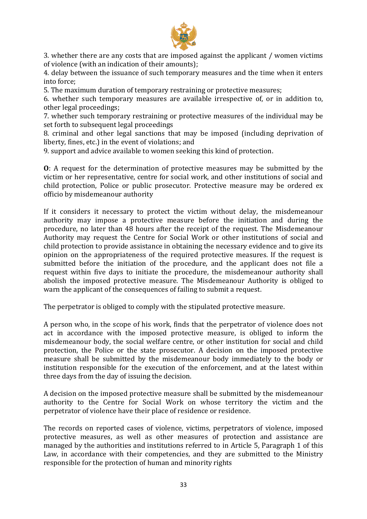

3. whether there are any costs that are imposed against the applicant / women victims of violence (with an indication of their amounts);

4. delay between the issuance of such temporary measures and the time when it enters into force;

5. The maximum duration of temporary restraining or protective measures;

6. whether such temporary measures are available irrespective of, or in addition to, other legal proceedings;

7. whether such temporary restraining or protective measures of the individual may be set forth to subsequent legal proceedings

8. criminal and other legal sanctions that may be imposed (including deprivation of liberty, fines, etc.) in the event of violations; and

9. support and advice available to women seeking this kind of protection.

**O**: A request for the determination of protective measures may be submitted by the victim or her representative, centre for social work, and other institutions of social and child protection, Police or public prosecutor. Protective measure may be ordered ex officio by misdemeanour authority

If it considers it necessary to protect the victim without delay, the misdemeanour authority may impose a protective measure before the initiation and during the procedure, no later than 48 hours after the receipt of the request. The Misdemeanour Authority may request the Centre for Social Work or other institutions of social and child protection to provide assistance in obtaining the necessary evidence and to give its opinion on the appropriateness of the required protective measures. If the request is submitted before the initiation of the procedure, and the applicant does not file a request within five days to initiate the procedure, the misdemeanour authority shall abolish the imposed protective measure. The Misdemeanour Authority is obliged to warn the applicant of the consequences of failing to submit a request.

The perpetrator is obliged to comply with the stipulated protective measure.

A person who, in the scope of his work, finds that the perpetrator of violence does not act in accordance with the imposed protective measure, is obliged to inform the misdemeanour body, the social welfare centre, or other institution for social and child protection, the Police or the state prosecutor. A decision on the imposed protective measure shall be submitted by the misdemeanour body immediately to the body or institution responsible for the execution of the enforcement, and at the latest within three days from the day of issuing the decision.

A decision on the imposed protective measure shall be submitted by the misdemeanour authority to the Centre for Social Work on whose territory the victim and the perpetrator of violence have their place of residence or residence.

The records on reported cases of violence, victims, perpetrators of violence, imposed protective measures, as well as other measures of protection and assistance are managed by the authorities and institutions referred to in Article 5, Paragraph 1 of this Law, in accordance with their competencies, and they are submitted to the Ministry responsible for the protection of human and minority rights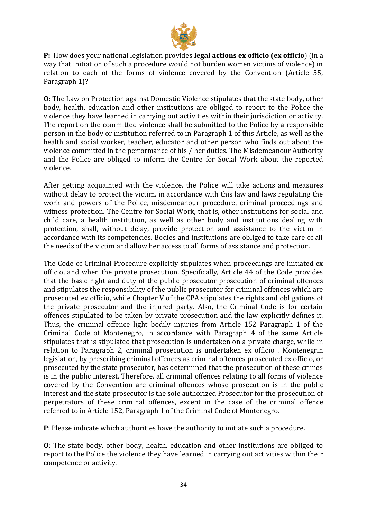

**P:** How does your national legislation provides **legal actions ex officio (ex officio**) (in a way that initiation of such a procedure would not burden women victims of violence) in relation to each of the forms of violence covered by the Convention (Article 55, Paragraph 1)?

**O**: The Law on Protection against Domestic Violence stipulates that the state body, other body, health, education and other institutions are obliged to report to the Police the violence they have learned in carrying out activities within their jurisdiction or activity. The report on the committed violence shall be submitted to the Police by a responsible person in the body or institution referred to in Paragraph 1 of this Article, as well as the health and social worker, teacher, educator and other person who finds out about the violence committed in the performance of his / her duties. The Misdemeanour Authority and the Police are obliged to inform the Centre for Social Work about the reported violence.

After getting acquainted with the violence, the Police will take actions and measures without delay to protect the victim, in accordance with this law and laws regulating the work and powers of the Police, misdemeanour procedure, criminal proceedings and witness protection. The Centre for Social Work, that is, other institutions for social and child care, a health institution, as well as other body and institutions dealing with protection, shall, without delay, provide protection and assistance to the victim in accordance with its competencies. Bodies and institutions are obliged to take care of all the needs of the victim and allow her access to all forms of assistance and protection.

The Code of Criminal Procedure explicitly stipulates when proceedings are initiated ex officio, and when the private prosecution. Specifically, Article 44 of the Code provides that the basic right and duty of the public prosecutor prosecution of criminal offences and stipulates the responsibility of the public prosecutor for criminal offences which are prosecuted ex officio, while Chapter V of the CPA stipulates the rights and obligations of the private prosecutor and the injured party. Also, the Criminal Code is for certain offences stipulated to be taken by private prosecution and the law explicitly defines it. Thus, the criminal offence light bodily injuries from Article 152 Paragraph 1 of the Criminal Code of Montenegro, in accordance with Paragraph 4 of the same Article stipulates that is stipulated that prosecution is undertaken on a private charge, while in relation to Paragraph 2, criminal prosecution is undertaken ex officio . Montenegrin legislation, by prescribing criminal offences as criminal offences prosecuted ex officio, or prosecuted by the state prosecutor, has determined that the prosecution of these crimes is in the public interest. Therefore, all criminal offences relating to all forms of violence covered by the Convention are criminal offences whose prosecution is in the public interest and the state prosecutor is the sole authorized Prosecutor for the prosecution of perpetrators of these criminal offences, except in the case of the criminal offence referred to in Article 152, Paragraph 1 of the Criminal Code of Montenegro.

**P**: Please indicate which authorities have the authority to initiate such a procedure.

**O**: The state body, other body, health, education and other institutions are obliged to report to the Police the violence they have learned in carrying out activities within their competence or activity.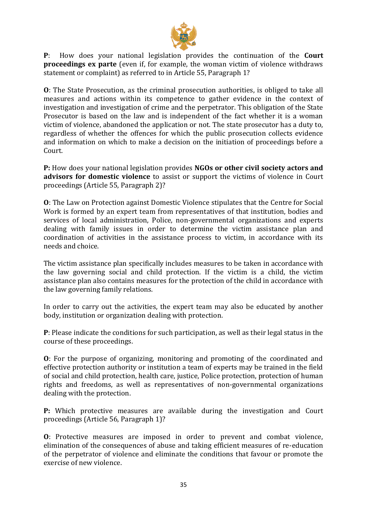

**P**: How does your national legislation provides the continuation of the **Court proceedings ex parte** (even if, for example, the woman victim of violence withdraws statement or complaint) as referred to in Article 55, Paragraph 1?

**O**: The State Prosecution, as the criminal prosecution authorities, is obliged to take all measures and actions within its competence to gather evidence in the context of investigation and investigation of crime and the perpetrator. This obligation of the State Prosecutor is based on the law and is independent of the fact whether it is a woman victim of violence, abandoned the application or not. The state prosecutor has a duty to, regardless of whether the offences for which the public prosecution collects evidence and information on which to make a decision on the initiation of proceedings before a Court.

**P:** How does your national legislation provides **NGOs or other civil society actors and advisors for domestic violence** to assist or support the victims of violence in Court proceedings (Article 55, Paragraph 2)?

**O**: The Law on Protection against Domestic Violence stipulates that the Centre for Social Work is formed by an expert team from representatives of that institution, bodies and services of local administration, Police, non-governmental organizations and experts dealing with family issues in order to determine the victim assistance plan and coordination of activities in the assistance process to victim, in accordance with its needs and choice.

The victim assistance plan specifically includes measures to be taken in accordance with the law governing social and child protection. If the victim is a child, the victim assistance plan also contains measures for the protection of the child in accordance with the law governing family relations.

In order to carry out the activities, the expert team may also be educated by another body, institution or organization dealing with protection.

**P**: Please indicate the conditions for such participation, as well as their legal status in the course of these proceedings.

**O**: For the purpose of organizing, monitoring and promoting of the coordinated and effective protection authority or institution a team of experts may be trained in the field of social and child protection, health care, justice, Police protection, protection of human rights and freedoms, as well as representatives of non-governmental organizations dealing with the protection.

**P:** Which protective measures are available during the investigation and Court proceedings (Article 56, Paragraph 1)?

**O**: Protective measures are imposed in order to prevent and combat violence, elimination of the consequences of abuse and taking efficient measures of re-education of the perpetrator of violence and eliminate the conditions that favour or promote the exercise of new violence.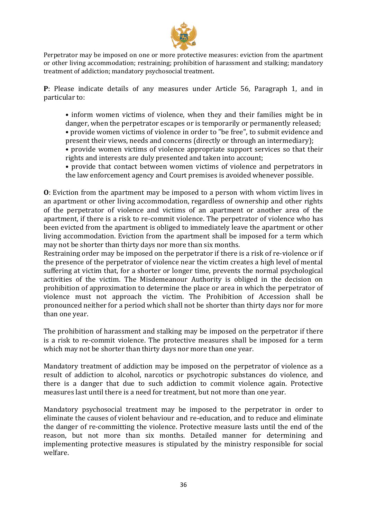

Perpetrator may be imposed on one or more protective measures: eviction from the apartment or other living accommodation; restraining; prohibition of harassment and stalking; mandatory treatment of addiction; mandatory psychosocial treatment.

**P**: Please indicate details of any measures under Article 56, Paragraph 1, and in particular to:

• inform women victims of violence, when they and their families might be in danger, when the perpetrator escapes or is temporarily or permanently released;

- provide women victims of violence in order to "be free", to submit evidence and present their views, needs and concerns (directly or through an intermediary);
- provide women victims of violence appropriate support services so that their rights and interests are duly presented and taken into account;
- provide that contact between women victims of violence and perpetrators in the law enforcement agency and Court premises is avoided whenever possible.

**O**: Eviction from the apartment may be imposed to a person with whom victim lives in an apartment or other living accommodation, regardless of ownership and other rights of the perpetrator of violence and victims of an apartment or another area of the apartment, if there is a risk to re-commit violence. The perpetrator of violence who has been evicted from the apartment is obliged to immediately leave the apartment or other living accommodation. Eviction from the apartment shall be imposed for a term which may not be shorter than thirty days nor more than six months.

Restraining order may be imposed on the perpetrator if there is a risk of re-violence or if the presence of the perpetrator of violence near the victim creates a high level of mental suffering at victim that, for a shorter or longer time, prevents the normal psychological activities of the victim. The Misdemeanour Authority is obliged in the decision on prohibition of approximation to determine the place or area in which the perpetrator of violence must not approach the victim. The Prohibition of Accession shall be pronounced neither for a period which shall not be shorter than thirty days nor for more than one year.

The prohibition of harassment and stalking may be imposed on the perpetrator if there is a risk to re-commit violence. The protective measures shall be imposed for a term which may not be shorter than thirty days nor more than one year.

Mandatory treatment of addiction may be imposed on the perpetrator of violence as a result of addiction to alcohol, narcotics or psychotropic substances do violence, and there is a danger that due to such addiction to commit violence again. Protective measures last until there is a need for treatment, but not more than one year.

Mandatory psychosocial treatment may be imposed to the perpetrator in order to eliminate the causes of violent behaviour and re-education, and to reduce and eliminate the danger of re-committing the violence. Protective measure lasts until the end of the reason, but not more than six months. Detailed manner for determining and implementing protective measures is stipulated by the ministry responsible for social welfare.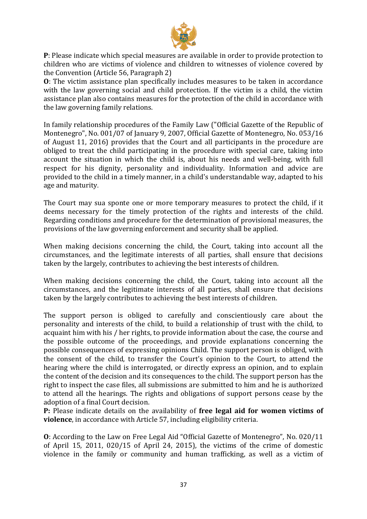

**P**: Please indicate which special measures are available in order to provide protection to children who are victims of violence and children to witnesses of violence covered by the Convention (Article 56, Paragraph 2)

**O**: The victim assistance plan specifically includes measures to be taken in accordance with the law governing social and child protection. If the victim is a child, the victim assistance plan also contains measures for the protection of the child in accordance with the law governing family relations.

In family relationship procedures of the Family Law ("Official Gazette of the Republic of Montenegro", No. 001/07 of January 9, 2007, Official Gazette of Montenegro, No. 053/16 of August 11, 2016) provides that the Court and all participants in the procedure are obliged to treat the child participating in the procedure with special care, taking into account the situation in which the child is, about his needs and well-being, with full respect for his dignity, personality and individuality. Information and advice are provided to the child in a timely manner, in a child's understandable way, adapted to his age and maturity.

The Court may sua sponte one or more temporary measures to protect the child, if it deems necessary for the timely protection of the rights and interests of the child. Regarding conditions and procedure for the determination of provisional measures, the provisions of the law governing enforcement and security shall be applied.

When making decisions concerning the child, the Court, taking into account all the circumstances, and the legitimate interests of all parties, shall ensure that decisions taken by the largely, contributes to achieving the best interests of children.

When making decisions concerning the child, the Court, taking into account all the circumstances, and the legitimate interests of all parties, shall ensure that decisions taken by the largely contributes to achieving the best interests of children.

The support person is obliged to carefully and conscientiously care about the personality and interests of the child, to build a relationship of trust with the child, to acquaint him with his / her rights, to provide information about the case, the course and the possible outcome of the proceedings, and provide explanations concerning the possible consequences of expressing opinions Child. The support person is obliged, with the consent of the child, to transfer the Court's opinion to the Court, to attend the hearing where the child is interrogated, or directly express an opinion, and to explain the content of the decision and its consequences to the child. The support person has the right to inspect the case files, all submissions are submitted to him and he is authorized to attend all the hearings. The rights and obligations of support persons cease by the adoption of a final Court decision.

**P:** Please indicate details on the availability of **free legal aid for women victims of violence**, in accordance with Article 57, including eligibility criteria.

**O**: According to the Law on Free Legal Aid "Official Gazette of Montenegro", No. 020/11 of April 15, 2011, 020/15 of April 24, 2015), the victims of the crime of domestic violence in the family or community and human trafficking, as well as a victim of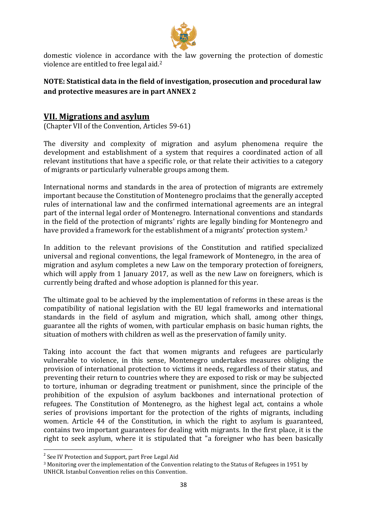

domestic violence in accordance with the law governing the protection of domestic violence are entitled to free legal aid.<sup>2</sup>

### **NOTE: Statistical data in the field of investigation, prosecution and procedural law and protective measures are in part ANNEX 2**

## <span id="page-37-0"></span>**VII. Migrations and asylum**

(Chapter VII of the Convention, Articles 59-61)

The diversity and complexity of migration and asylum phenomena require the development and establishment of a system that requires a coordinated action of all relevant institutions that have a specific role, or that relate their activities to a category of migrants or particularly vulnerable groups among them.

International norms and standards in the area of protection of migrants are extremely important because the Constitution of Montenegro proclaims that the generally accepted rules of international law and the confirmed international agreements are an integral part of the internal legal order of Montenegro. International conventions and standards in the field of the protection of migrants' rights are legally binding for Montenegro and have provided a framework for the establishment of a migrants' protection system.<sup>3</sup>

In addition to the relevant provisions of the Constitution and ratified specialized universal and regional conventions, the legal framework of Montenegro, in the area of migration and asylum completes a new Law on the temporary protection of foreigners, which will apply from 1 January 2017, as well as the new Law on foreigners, which is currently being drafted and whose adoption is planned for this year.

The ultimate goal to be achieved by the implementation of reforms in these areas is the compatibility of national legislation with the EU legal frameworks and international standards in the field of asylum and migration, which shall, among other things, guarantee all the rights of women, with particular emphasis on basic human rights, the situation of mothers with children as well as the preservation of family unity.

Taking into account the fact that women migrants and refugees are particularly vulnerable to violence, in this sense, Montenegro undertakes measures obliging the provision of international protection to victims it needs, regardless of their status, and preventing their return to countries where they are exposed to risk or may be subjected to torture, inhuman or degrading treatment or punishment, since the principle of the prohibition of the expulsion of asylum backbones and international protection of refugees. The Constitution of Montenegro, as the highest legal act, contains a whole series of provisions important for the protection of the rights of migrants, including women. Article 44 of the Constitution, in which the right to asylum is guaranteed, contains two important guarantees for dealing with migrants. In the first place, it is the right to seek asylum, where it is stipulated that "a foreigner who has been basically

**.** 

<sup>&</sup>lt;sup>2</sup> See IV Protection and Support, part Free Legal Aid

<sup>3</sup> Monitoring over the implementation of the Convention relating to the Status of Refugees in 1951 by UNHCR. Istanbul Convention relies on this Convention.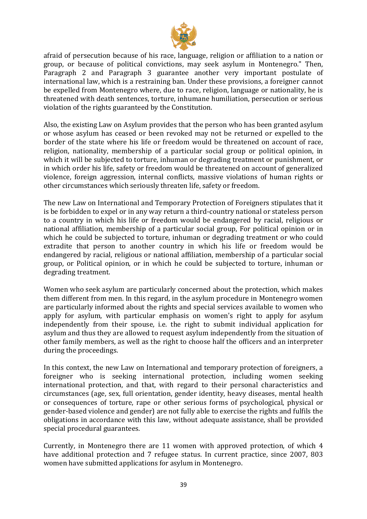

afraid of persecution because of his race, language, religion or affiliation to a nation or group, or because of political convictions, may seek asylum in Montenegro." Then, Paragraph 2 and Paragraph 3 guarantee another very important postulate of international law, which is a restraining ban. Under these provisions, a foreigner cannot be expelled from Montenegro where, due to race, religion, language or nationality, he is threatened with death sentences, torture, inhumane humiliation, persecution or serious violation of the rights guaranteed by the Constitution.

Also, the existing Law on Asylum provides that the person who has been granted asylum or whose asylum has ceased or been revoked may not be returned or expelled to the border of the state where his life or freedom would be threatened on account of race, religion, nationality, membership of a particular social group or political opinion, in which it will be subjected to torture, inhuman or degrading treatment or punishment, or in which order his life, safety or freedom would be threatened on account of generalized violence, foreign aggression, internal conflicts, massive violations of human rights or other circumstances which seriously threaten life, safety or freedom.

The new Law on International and Temporary Protection of Foreigners stipulates that it is be forbidden to expel or in any way return a third-country national or stateless person to a country in which his life or freedom would be endangered by racial, religious or national affiliation, membership of a particular social group, For political opinion or in which he could be subjected to torture, inhuman or degrading treatment or who could extradite that person to another country in which his life or freedom would be endangered by racial, religious or national affiliation, membership of a particular social group, or Political opinion, or in which he could be subjected to torture, inhuman or degrading treatment.

Women who seek asylum are particularly concerned about the protection, which makes them different from men. In this regard, in the asylum procedure in Montenegro women are particularly informed about the rights and special services available to women who apply for asylum, with particular emphasis on women's right to apply for asylum independently from their spouse, i.e. the right to submit individual application for asylum and thus they are allowed to request asylum independently from the situation of other family members, as well as the right to choose half the officers and an interpreter during the proceedings.

In this context, the new Law on International and temporary protection of foreigners, a foreigner who is seeking international protection, including women seeking international protection, and that, with regard to their personal characteristics and circumstances (age, sex, full orientation, gender identity, heavy diseases, mental health or consequences of torture, rape or other serious forms of psychological, physical or gender-based violence and gender) are not fully able to exercise the rights and fulfils the obligations in accordance with this law, without adequate assistance, shall be provided special procedural guarantees.

Currently, in Montenegro there are 11 women with approved protection, of which 4 have additional protection and 7 refugee status. In current practice, since 2007, 803 women have submitted applications for asylum in Montenegro.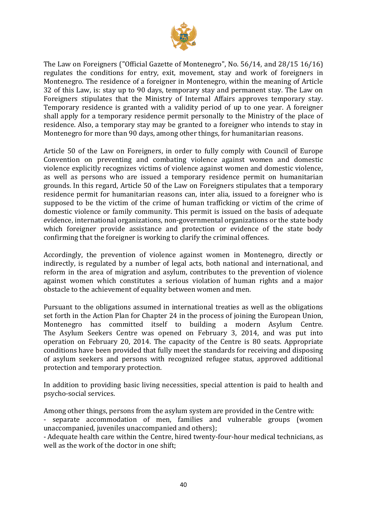

The Law on Foreigners ("Official Gazette of Montenegro", No. 56/14, and 28/15 16/16) regulates the conditions for entry, exit, movement, stay and work of foreigners in Montenegro. The residence of a foreigner in Montenegro, within the meaning of Article 32 of this Law, is: stay up to 90 days, temporary stay and permanent stay. The Law on Foreigners stipulates that the Ministry of Internal Affairs approves temporary stay. Temporary residence is granted with a validity period of up to one year. A foreigner shall apply for a temporary residence permit personally to the Ministry of the place of residence. Also, a temporary stay may be granted to a foreigner who intends to stay in Montenegro for more than 90 days, among other things, for humanitarian reasons.

Article 50 of the Law on Foreigners, in order to fully comply with Council of Europe Convention on preventing and combating violence against women and domestic violence explicitly recognizes victims of violence against women and domestic violence, as well as persons who are issued a temporary residence permit on humanitarian grounds. In this regard, Article 50 of the Law on Foreigners stipulates that a temporary residence permit for humanitarian reasons can, inter alia, issued to a foreigner who is supposed to be the victim of the crime of human trafficking or victim of the crime of domestic violence or family community. This permit is issued on the basis of adequate evidence, international organizations, non-governmental organizations or the state body which foreigner provide assistance and protection or evidence of the state body confirming that the foreigner is working to clarify the criminal offences.

Accordingly, the prevention of violence against women in Montenegro, directly or indirectly, is regulated by a number of legal acts, both national and international, and reform in the area of migration and asylum, contributes to the prevention of violence against women which constitutes a serious violation of human rights and a major obstacle to the achievement of equality between women and men.

Pursuant to the obligations assumed in international treaties as well as the obligations set forth in the Action Plan for Chapter 24 in the process of joining the European Union, Montenegro has committed itself to building a modern Asylum Centre. The Asylum Seekers Centre was opened on February 3, 2014, and was put into operation on February 20, 2014. The capacity of the Centre is 80 seats. Appropriate conditions have been provided that fully meet the standards for receiving and disposing of asylum seekers and persons with recognized refugee status, approved additional protection and temporary protection.

In addition to providing basic living necessities, special attention is paid to health and psycho-social services.

Among other things, persons from the asylum system are provided in the Centre with: - separate accommodation of men, families and vulnerable groups (women unaccompanied, juveniles unaccompanied and others);

- Adequate health care within the Centre, hired twenty-four-hour medical technicians, as well as the work of the doctor in one shift;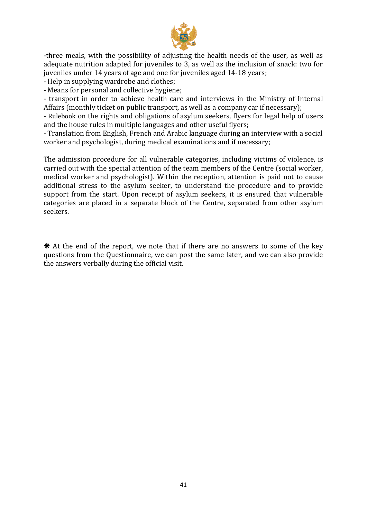

-three meals, with the possibility of adjusting the health needs of the user, as well as adequate nutrition adapted for juveniles to 3, as well as the inclusion of snack: two for juveniles under 14 years of age and one for juveniles aged 14-18 years;

- Help in supplying wardrobe and clothes;

- Means for personal and collective hygiene;

- transport in order to achieve health care and interviews in the Ministry of Internal Affairs (monthly ticket on public transport, as well as a company car if necessary);

- Rulebook on the rights and obligations of asylum seekers, flyers for legal help of users and the house rules in multiple languages and other useful flyers;

- Translation from English, French and Arabic language during an interview with a social worker and psychologist, during medical examinations and if necessary;

The admission procedure for all vulnerable categories, including victims of violence, is carried out with the special attention of the team members of the Centre (social worker, medical worker and psychologist). Within the reception, attention is paid not to cause additional stress to the asylum seeker, to understand the procedure and to provide support from the start. Upon receipt of asylum seekers, it is ensured that vulnerable categories are placed in a separate block of the Centre, separated from other asylum seekers.

 $*$  At the end of the report, we note that if there are no answers to some of the key questions from the Questionnaire, we can post the same later, and we can also provide the answers verbally during the official visit.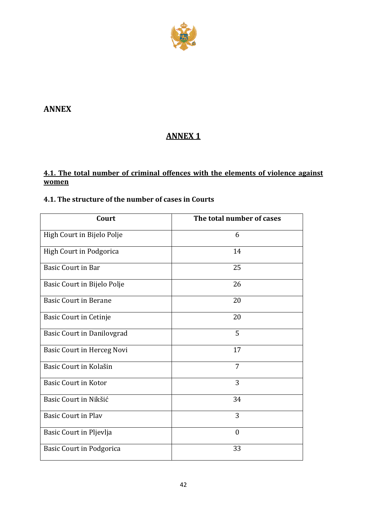

## <span id="page-41-0"></span>**ANNEX**

# **ANNEX 1**

## **4.1. The total number of criminal offences with the elements of violence against women**

## **4.1. The structure of the number of cases in Courts**

| Court                             | The total number of cases |
|-----------------------------------|---------------------------|
| High Court in Bijelo Polje        | 6                         |
| High Court in Podgorica           | 14                        |
| <b>Basic Court in Bar</b>         | 25                        |
| Basic Court in Bijelo Polje       | 26                        |
| <b>Basic Court in Berane</b>      | 20                        |
| <b>Basic Court in Cetinje</b>     | 20                        |
| <b>Basic Court in Danilovgrad</b> | 5                         |
| <b>Basic Court in Herceg Novi</b> | 17                        |
| Basic Court in Kolašin            | 7                         |
| <b>Basic Court in Kotor</b>       | 3                         |
| Basic Court in Nikšić             | 34                        |
| <b>Basic Court in Plav</b>        | 3                         |
| Basic Court in Pljevlja           | $\theta$                  |
| <b>Basic Court in Podgorica</b>   | 33                        |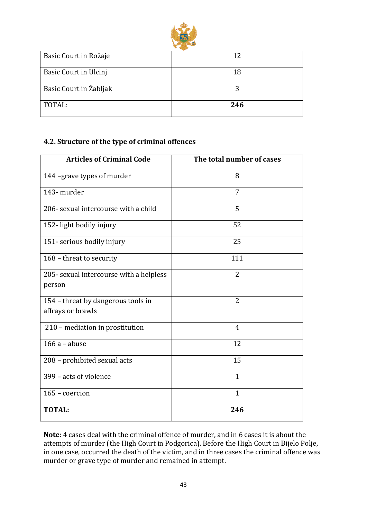

| Basic Court in Rožaje  | 12  |
|------------------------|-----|
| Basic Court in Ulcinj  | 18  |
| Basic Court in Žabljak |     |
| TOTAL:                 | 246 |

### **4.2. Structure of the type of criminal offences**

| <b>Articles of Criminal Code</b>                        | The total number of cases |
|---------------------------------------------------------|---------------------------|
| 144 -grave types of murder                              | 8                         |
| 143- murder                                             | 7                         |
| 206- sexual intercourse with a child                    | 5                         |
| 152-light bodily injury                                 | 52                        |
| 151- serious bodily injury                              | 25                        |
| 168 - threat to security                                | 111                       |
| 205- sexual intercourse with a helpless<br>person       | $\overline{2}$            |
| 154 – threat by dangerous tools in<br>affrays or brawls | 2                         |
| 210 - mediation in prostitution                         | 4                         |
| $166a - abuse$                                          | 12                        |
| 208 - prohibited sexual acts                            | 15                        |
| 399 - acts of violence                                  | $\mathbf{1}$              |
| 165 - coercion                                          | $\mathbf{1}$              |
| <b>TOTAL:</b>                                           | 246                       |

**Note**: 4 cases deal with the criminal offence of murder, and in 6 cases it is about the attempts of murder (the High Court in Podgorica). Before the High Court in Bijelo Polje, in one case, occurred the death of the victim, and in three cases the criminal offence was murder or grave type of murder and remained in attempt.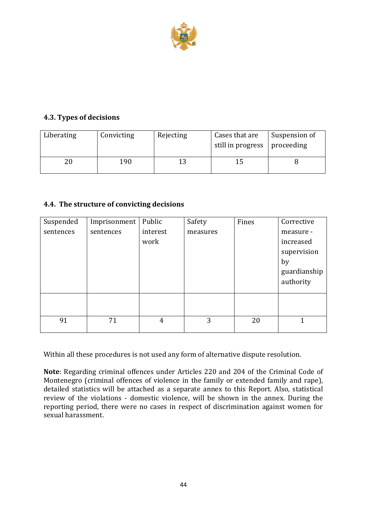

## **4.3. Types of decisions**

| Liberating | Convicting | Rejecting | Cases that are<br>still in progress   proceeding | Suspension of |
|------------|------------|-----------|--------------------------------------------------|---------------|
|            | 190        |           |                                                  |               |

### **4.4. The structure of convicting decisions**

| Suspended<br>sentences | Imprisonment<br>sentences | Public<br>interest<br>work | Safety<br>measures | Fines | Corrective<br>measure -<br>increased           |
|------------------------|---------------------------|----------------------------|--------------------|-------|------------------------------------------------|
|                        |                           |                            |                    |       | supervision<br>by<br>guardianship<br>authority |
|                        |                           |                            |                    |       |                                                |
| 91                     | 71                        | 4                          | 3                  | 20    |                                                |

Within all these procedures is not used any form of alternative dispute resolution.

**Note**: Regarding criminal offences under Articles 220 and 204 of the Criminal Code of Montenegro (criminal offences of violence in the family or extended family and rape), detailed statistics will be attached as a separate annex to this Report. Also, statistical review of the violations - domestic violence, will be shown in the annex. During the reporting period, there were no cases in respect of discrimination against women for sexual harassment.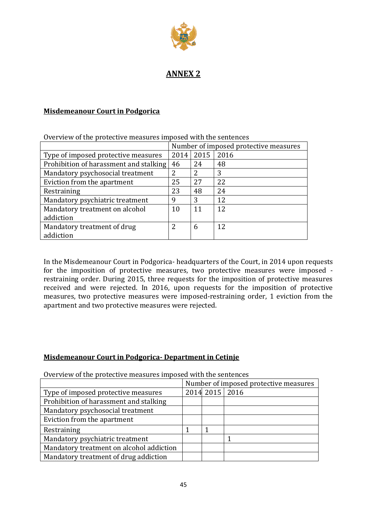

# **ANNEX 2**

#### **Misdemeanour Court in Podgorica**

|                                        | Number of imposed protective measures |      |      |
|----------------------------------------|---------------------------------------|------|------|
| Type of imposed protective measures    | 2014                                  | 2015 | 2016 |
| Prohibition of harassment and stalking | 46                                    | 24   | 48   |
| Mandatory psychosocial treatment       |                                       | 2    | 3    |
| Eviction from the apartment            | 25                                    | 27   | 22   |
| Restraining                            | 23                                    | 48   | 24   |
| Mandatory psychiatric treatment        | 9                                     | 3    | 12   |
| Mandatory treatment on alcohol         | 10                                    | 11   | 12   |
| addiction                              |                                       |      |      |
| Mandatory treatment of drug            | 2                                     | 6    | 12   |
| addiction                              |                                       |      |      |

Overview of the protective measures imposed with the sentences

In the Misdemeanour Court in Podgorica- headquarters of the Court, in 2014 upon requests for the imposition of protective measures, two protective measures were imposed restraining order. During 2015, three requests for the imposition of protective measures received and were rejected. In 2016, upon requests for the imposition of protective measures, two protective measures were imposed-restraining order, 1 eviction from the apartment and two protective measures were rejected.

#### **Misdemeanour Court in Podgorica- Department in Cetinje**

Overview of the protective measures imposed with the sentences

|                                          | Number of imposed protective measures |                  |  |  |
|------------------------------------------|---------------------------------------|------------------|--|--|
| Type of imposed protective measures      |                                       | 2014 2015   2016 |  |  |
| Prohibition of harassment and stalking   |                                       |                  |  |  |
| Mandatory psychosocial treatment         |                                       |                  |  |  |
| Eviction from the apartment              |                                       |                  |  |  |
| Restraining                              |                                       |                  |  |  |
| Mandatory psychiatric treatment          |                                       |                  |  |  |
| Mandatory treatment on alcohol addiction |                                       |                  |  |  |
| Mandatory treatment of drug addiction    |                                       |                  |  |  |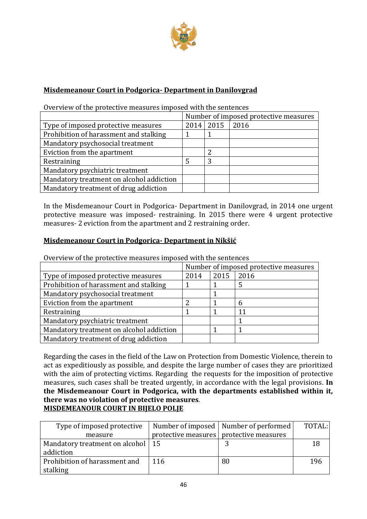

### **Misdemeanour Court in Podgorica- Department in Danilovgrad**

Overview of the protective measures imposed with the sentences

|                                          | Number of imposed protective measures |               |      |
|------------------------------------------|---------------------------------------|---------------|------|
| Type of imposed protective measures      |                                       | $2014$   2015 | 2016 |
| Prohibition of harassment and stalking   |                                       |               |      |
| Mandatory psychosocial treatment         |                                       |               |      |
| Eviction from the apartment              |                                       | າ             |      |
| Restraining                              |                                       | 3             |      |
| Mandatory psychiatric treatment          |                                       |               |      |
| Mandatory treatment on alcohol addiction |                                       |               |      |
| Mandatory treatment of drug addiction    |                                       |               |      |

In the Misdemeanour Court in Podgorica- Department in Danilovgrad, in 2014 one urgent protective measure was imposed- restraining. In 2015 there were 4 urgent protective measures- 2 eviction from the apartment and 2 restraining order.

#### **Misdemeanour Court in Podgorica- Department in Nikšić**

Overview of the protective measures imposed with the sentences

|                                          | Number of imposed protective measures |      |      |
|------------------------------------------|---------------------------------------|------|------|
| Type of imposed protective measures      | 2014                                  | 2015 | 2016 |
| Prohibition of harassment and stalking   |                                       |      |      |
| Mandatory psychosocial treatment         |                                       |      |      |
| Eviction from the apartment              | າ                                     |      | 6    |
| Restraining                              |                                       |      | 11   |
| Mandatory psychiatric treatment          |                                       |      |      |
| Mandatory treatment on alcohol addiction |                                       |      |      |
| Mandatory treatment of drug addiction    |                                       |      |      |

Regarding the cases in the field of the Law on Protection from Domestic Violence, therein to act as expeditiously as possible, and despite the large number of cases they are prioritized with the aim of protecting victims. Regarding the requests for the imposition of protective measures, such cases shall be treated urgently, in accordance with the legal provisions. **In the Misdemeanour Court in Podgorica, with the departments established within it, there was no violation of protective measures**. **MISDEMEANOUR COURT IN BIJELO POLJE**

| Type of imposed protective          |     | Number of imposed   Number of performed   | TOTAL: |
|-------------------------------------|-----|-------------------------------------------|--------|
| measure                             |     | protective measures   protective measures |        |
| Mandatory treatment on alcohol   15 |     |                                           |        |
| addiction                           |     |                                           |        |
| Prohibition of harassment and       | 116 | 80                                        | 196    |
| stalking                            |     |                                           |        |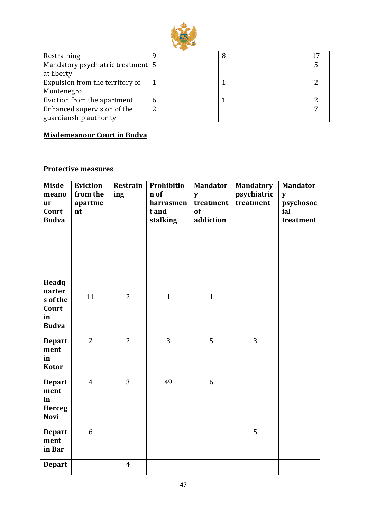

| Restraining                       |  |  |
|-----------------------------------|--|--|
| Mandatory psychiatric treatment 5 |  |  |
| at liberty                        |  |  |
| Expulsion from the territory of   |  |  |
| Montenegro                        |  |  |
| Eviction from the apartment       |  |  |
| Enhanced supervision of the       |  |  |
| guardianship authority            |  |  |

# **Misdemeanour Court in Budva**

| <b>Protective measures</b>                                  |                                              |                        |                                                      |                                                      |                                              |                                                       |  |  |  |
|-------------------------------------------------------------|----------------------------------------------|------------------------|------------------------------------------------------|------------------------------------------------------|----------------------------------------------|-------------------------------------------------------|--|--|--|
| <b>Misde</b><br>meano<br><b>ur</b><br>Court<br><b>Budva</b> | <b>Eviction</b><br>from the<br>apartme<br>nt | <b>Restrain</b><br>ing | Prohibitio<br>n of<br>harrasmen<br>t and<br>stalking | <b>Mandator</b><br>y<br>treatment<br>of<br>addiction | <b>Mandatory</b><br>psychiatric<br>treatment | <b>Mandator</b><br>y<br>psychosoc<br>ial<br>treatment |  |  |  |
| Headq<br>uarter<br>s of the<br>Court<br>in<br><b>Budva</b>  | 11                                           | $\overline{2}$         | $\mathbf{1}$                                         | $\mathbf{1}$                                         |                                              |                                                       |  |  |  |
| <b>Depart</b><br>ment<br>in<br><b>Kotor</b>                 | $\overline{2}$                               | $\overline{2}$         | 3                                                    | 5                                                    | 3                                            |                                                       |  |  |  |
| <b>Depart</b><br>ment<br>in<br><b>Herceg</b><br><b>Novi</b> | $\overline{4}$                               | 3                      | 49                                                   | 6                                                    |                                              |                                                       |  |  |  |
| <b>Depart</b><br>ment<br>in Bar                             | 6                                            |                        |                                                      |                                                      | 5                                            |                                                       |  |  |  |
| <b>Depart</b>                                               |                                              | $\overline{4}$         |                                                      |                                                      |                                              |                                                       |  |  |  |